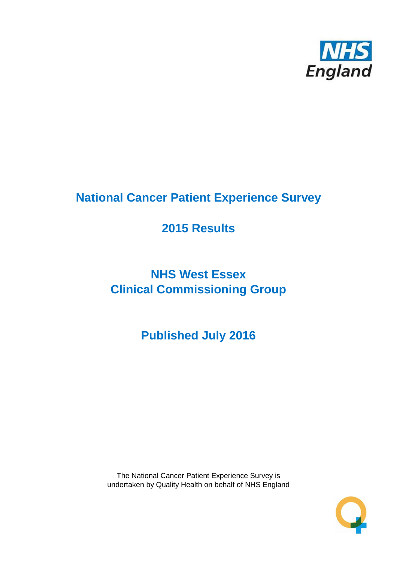

# **National Cancer Patient Experience Survey**

# **2015 Results**

# **NHS West Essex Clinical Commissioning Group**

**Published July 2016**

The National Cancer Patient Experience Survey is undertaken by Quality Health on behalf of NHS England

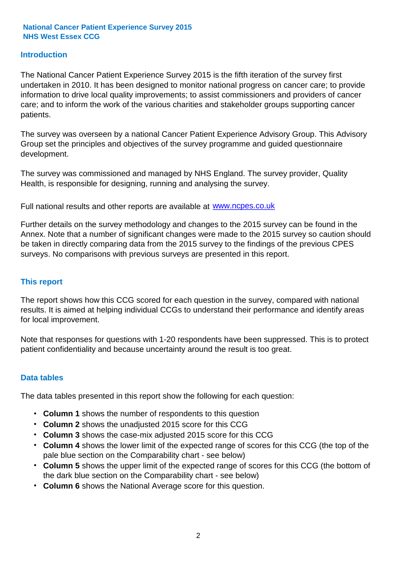# **Introduction**

The National Cancer Patient Experience Survey 2015 is the fifth iteration of the survey first undertaken in 2010. It has been designed to monitor national progress on cancer care; to provide information to drive local quality improvements; to assist commissioners and providers of cancer care; and to inform the work of the various charities and stakeholder groups supporting cancer patients.

The survey was overseen by a national Cancer Patient Experience Advisory Group. This Advisory Group set the principles and objectives of the survey programme and guided questionnaire development.

The survey was commissioned and managed by NHS England. The survey provider, Quality Health, is responsible for designing, running and analysing the survey.

Full national results and other reports are available at www.ncpes.co.uk

Further details on the survey methodology and changes to the 2015 survey can be found in the Annex. Note that a number of significant changes were made to the 2015 survey so caution should be taken in directly comparing data from the 2015 survey to the findings of the previous CPES surveys. No comparisons with previous surveys are presented in this report.

### **This report**

The report shows how this CCG scored for each question in the survey, compared with national results. It is aimed at helping individual CCGs to understand their performance and identify areas for local improvement.

Note that responses for questions with 1-20 respondents have been suppressed. This is to protect patient confidentiality and because uncertainty around the result is too great.

### **Data tables**

The data tables presented in this report show the following for each question:

- **Column 1** shows the number of respondents to this question
- **Column 2** shows the unadjusted 2015 score for this CCG
- **Column 3** shows the case-mix adjusted 2015 score for this CCG
- **Column 4** shows the lower limit of the expected range of scores for this CCG (the top of the pale blue section on the Comparability chart - see below)
- **Column 5** shows the upper limit of the expected range of scores for this CCG (the bottom of the dark blue section on the Comparability chart - see below)
- **Column 6** shows the National Average score for this question.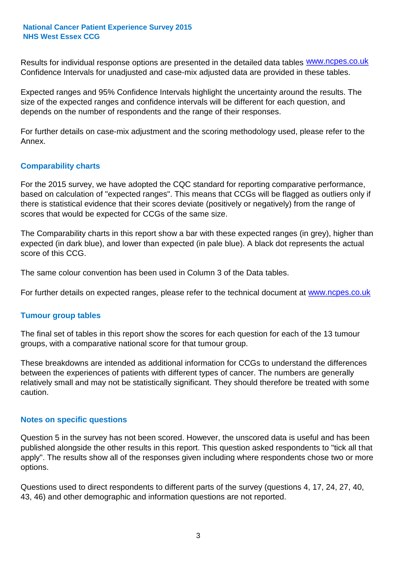Results for individual response options are presented in the detailed data tables **WWW.ncpes.co.uk** Confidence Intervals for unadjusted and case-mix adjusted data are provided in these tables.

Expected ranges and 95% Confidence Intervals highlight the uncertainty around the results. The size of the expected ranges and confidence intervals will be different for each question, and depends on the number of respondents and the range of their responses.

For further details on case-mix adjustment and the scoring methodology used, please refer to the Annex.

# **Comparability charts**

For the 2015 survey, we have adopted the CQC standard for reporting comparative performance, based on calculation of "expected ranges". This means that CCGs will be flagged as outliers only if there is statistical evidence that their scores deviate (positively or negatively) from the range of scores that would be expected for CCGs of the same size.

The Comparability charts in this report show a bar with these expected ranges (in grey), higher than expected (in dark blue), and lower than expected (in pale blue). A black dot represents the actual score of this CCG.

The same colour convention has been used in Column 3 of the Data tables.

For further details on expected ranges, please refer to the technical document at **www.ncpes.co.uk** 

### **Tumour group tables**

The final set of tables in this report show the scores for each question for each of the 13 tumour groups, with a comparative national score for that tumour group.

These breakdowns are intended as additional information for CCGs to understand the differences between the experiences of patients with different types of cancer. The numbers are generally relatively small and may not be statistically significant. They should therefore be treated with some caution.

### **Notes on specific questions**

Question 5 in the survey has not been scored. However, the unscored data is useful and has been published alongside the other results in this report. This question asked respondents to "tick all that apply". The results show all of the responses given including where respondents chose two or more options.

Questions used to direct respondents to different parts of the survey (questions 4, 17, 24, 27, 40, 43, 46) and other demographic and information questions are not reported.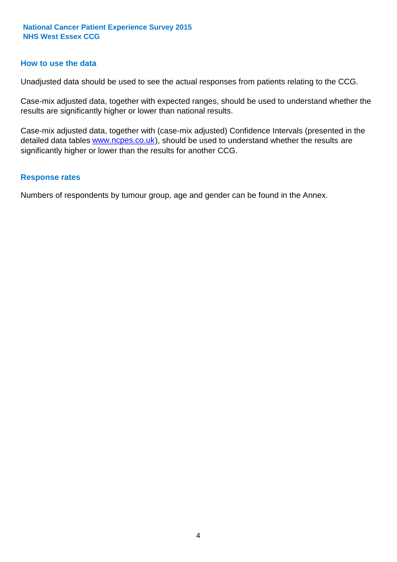#### **How to use the data**

Unadjusted data should be used to see the actual responses from patients relating to the CCG.

Case-mix adjusted data, together with expected ranges, should be used to understand whether the results are significantly higher or lower than national results.

Case-mix adjusted data, together with (case-mix adjusted) Confidence Intervals (presented in the detailed data tables **www.ncpes.co.uk**), should be used to understand whether the results are significantly higher or lower than the results for another CCG.

#### **Response rates**

Numbers of respondents by tumour group, age and gender can be found in the Annex.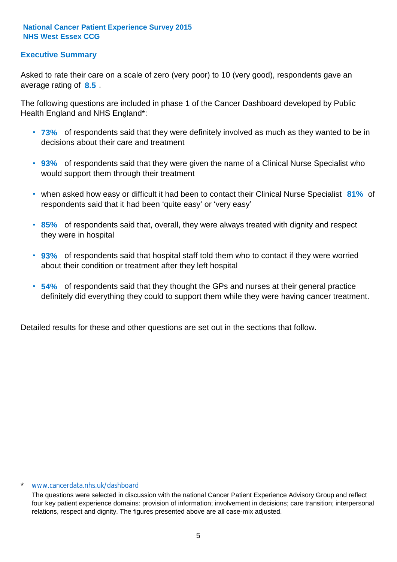# **Executive Summary**

average rating of **8.5**. Asked to rate their care on a scale of zero (very poor) to 10 (very good), respondents gave an

The following questions are included in phase 1 of the Cancer Dashboard developed by Public Health England and NHS England\*:

- **73%** of respondents said that they were definitely involved as much as they wanted to be in decisions about their care and treatment
- **93%** of respondents said that they were given the name of a Clinical Nurse Specialist who would support them through their treatment
- when asked how easy or difficult it had been to contact their Clinical Nurse Specialist 81% of respondents said that it had been 'quite easy' or 'very easy'
- **85%** of respondents said that, overall, they were always treated with dignity and respect they were in hospital
- **93%** of respondents said that hospital staff told them who to contact if they were worried about their condition or treatment after they left hospital
- **54%** of respondents said that they thought the GPs and nurses at their general practice definitely did everything they could to support them while they were having cancer treatment.

Detailed results for these and other questions are set out in the sections that follow.

#### www.cancerdata.nhs.uk/dashboard

The questions were selected in discussion with the national Cancer Patient Experience Advisory Group and reflect four key patient experience domains: provision of information; involvement in decisions; care transition; interpersonal relations, respect and dignity. The figures presented above are all case-mix adjusted.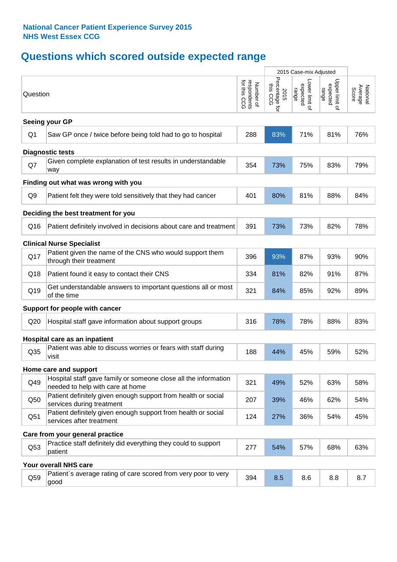# **Questions which scored outside expected range**

|                |                                                                                                     |                                          | 2015 Case-mix Adjusted             |                                     |                                     |                              |
|----------------|-----------------------------------------------------------------------------------------------------|------------------------------------------|------------------------------------|-------------------------------------|-------------------------------------|------------------------------|
| Question       |                                                                                                     | respondents<br>for this CCG<br>Number of | Percentage for<br>this CCG<br>2015 | Lower limit of<br>expected<br>range | Upper limit o'<br>expected<br>range | Average<br>Score<br>National |
|                | Seeing your GP                                                                                      |                                          |                                    |                                     |                                     |                              |
| Q <sub>1</sub> | Saw GP once / twice before being told had to go to hospital                                         | 288                                      | 83%                                | 71%                                 | 81%                                 | 76%                          |
|                | <b>Diagnostic tests</b>                                                                             |                                          |                                    |                                     |                                     |                              |
| Q7             | Given complete explanation of test results in understandable<br>way                                 | 354                                      | 73%                                | 75%                                 | 83%                                 | 79%                          |
|                | Finding out what was wrong with you                                                                 |                                          |                                    |                                     |                                     |                              |
| Q <sub>9</sub> | Patient felt they were told sensitively that they had cancer                                        | 401                                      | 80%                                | 81%                                 | 88%                                 | 84%                          |
|                | Deciding the best treatment for you                                                                 |                                          |                                    |                                     |                                     |                              |
| Q16            | Patient definitely involved in decisions about care and treatment                                   | 391                                      | 73%                                | 73%                                 | 82%                                 | 78%                          |
|                | <b>Clinical Nurse Specialist</b>                                                                    |                                          |                                    |                                     |                                     |                              |
| Q17            | Patient given the name of the CNS who would support them<br>through their treatment                 | 396                                      | 93%                                | 87%                                 | 93%                                 | 90%                          |
| Q18            | Patient found it easy to contact their CNS                                                          | 334                                      | 81%                                | 82%                                 | 91%                                 | 87%                          |
| Q19            | Get understandable answers to important questions all or most<br>of the time                        | 321                                      | 84%                                | 85%                                 | 92%                                 | 89%                          |
|                | Support for people with cancer                                                                      |                                          |                                    |                                     |                                     |                              |
| Q20            | Hospital staff gave information about support groups                                                | 316                                      | 78%                                | 78%                                 | 88%                                 | 83%                          |
|                | Hospital care as an inpatient                                                                       |                                          |                                    |                                     |                                     |                              |
| Q35            | Patient was able to discuss worries or fears with staff during<br>visit                             | 188                                      | 44%                                | 45%                                 | 59%                                 | 52%                          |
|                | Home care and support                                                                               |                                          |                                    |                                     |                                     |                              |
| Q49            | Hospital staff gave family or someone close all the information<br>needed to help with care at home | 321                                      | 49%                                | 52%                                 | 63%                                 | 58%                          |
| Q50            | Patient definitely given enough support from health or social<br>services during treatment          | 207                                      | 39%                                | 46%                                 | 62%                                 | 54%                          |
| Q51            | Patient definitely given enough support from health or social<br>services after treatment           | 124                                      | 27%                                | 36%                                 | 54%                                 | 45%                          |
|                | Care from your general practice                                                                     |                                          |                                    |                                     |                                     |                              |
| Q53            | Practice staff definitely did everything they could to support<br>patient                           | 277                                      | 54%                                | 57%                                 | 68%                                 | 63%                          |
|                | Your overall NHS care                                                                               |                                          |                                    |                                     |                                     |                              |
| Q59            | Patient's average rating of care scored from very poor to very<br>good                              | 394                                      | 8.5                                | 8.6                                 | 8.8                                 | 8.7                          |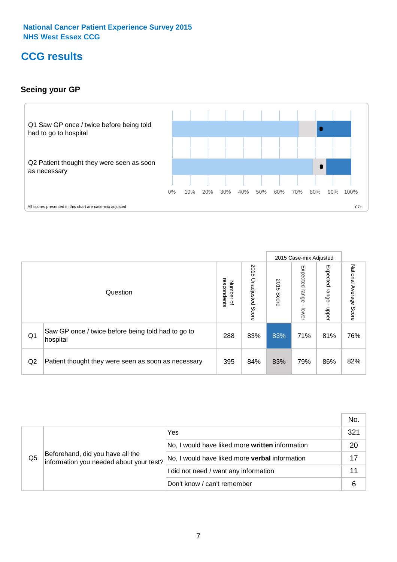# **CCG results**

# **Seeing your GP**



|    |                                                                |                                              |                             |               | 2015 Case-mix Adjusted     |                            |                           |
|----|----------------------------------------------------------------|----------------------------------------------|-----------------------------|---------------|----------------------------|----------------------------|---------------------------|
|    | Question                                                       | respondents<br>Number<br>$\overline{\sigma}$ | 2015<br>Unadjusted<br>Score | 2015<br>Score | Expected<br>range<br>lower | Expected<br>range<br>nbber | National Average<br>Score |
| Q1 | Saw GP once / twice before being told had to go to<br>hospital | 288                                          | 83%                         | 83%           | 71%                        | 81%                        | 76%                       |
| Q2 | Patient thought they were seen as soon as necessary            | 395                                          | 84%                         | 83%           | 79%                        | 86%                        | 82%                       |

|                |                                                                             |                                                       | No. |
|----------------|-----------------------------------------------------------------------------|-------------------------------------------------------|-----|
| Q <sub>5</sub> | Beforehand, did you have all the<br>information you needed about your test? | Yes                                                   | 321 |
|                |                                                                             | No, I would have liked more written information       | 20  |
|                |                                                                             | No, I would have liked more <b>verbal</b> information | 17  |
|                |                                                                             | I did not need / want any information                 |     |
|                |                                                                             | Don't know / can't remember                           |     |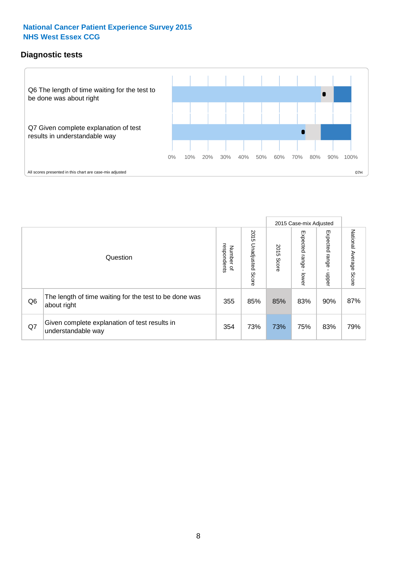# **Diagnostic tests**



|                |                                                                       |                                   |                             |               | 2015 Case-mix Adjusted  |                         |                           |
|----------------|-----------------------------------------------------------------------|-----------------------------------|-----------------------------|---------------|-------------------------|-------------------------|---------------------------|
|                | Question                                                              | respondents<br>Number<br>$\Omega$ | 2015<br>Unadjusted<br>Score | 2015<br>Score | Expected range<br>lower | Expected range<br>nbber | National Average<br>Score |
| Q <sub>6</sub> | The length of time waiting for the test to be done was<br>about right | 355                               | 85%                         | 85%           | 83%                     | 90%                     | 87%                       |
| Q7             | Given complete explanation of test results in<br>understandable way   | 354                               | 73%                         | 73%           | 75%                     | 83%                     | 79%                       |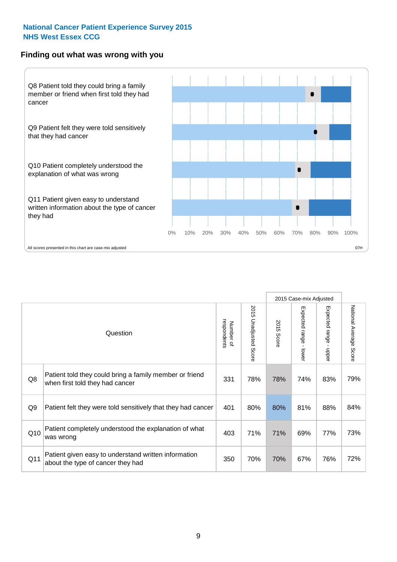### **Finding out what was wrong with you**



|                | Question                                                                                   | respondents<br>Number of | 2015 Unadjusted Score | 2015<br>Score | Expected range<br>lower | Expected range<br>$\mathbf{r}$<br>nbber | National Average Score |
|----------------|--------------------------------------------------------------------------------------------|--------------------------|-----------------------|---------------|-------------------------|-----------------------------------------|------------------------|
| Q8             | Patient told they could bring a family member or friend<br>when first told they had cancer | 331                      | 78%                   | 78%           | 74%                     | 83%                                     | 79%                    |
| Q <sub>9</sub> | Patient felt they were told sensitively that they had cancer                               | 401                      | 80%                   | 80%           | 81%                     | 88%                                     | 84%                    |
| Q10            | Patient completely understood the explanation of what<br>was wrong                         | 403                      | 71%                   | 71%           | 69%                     | 77%                                     | 73%                    |
| Q11            | Patient given easy to understand written information<br>about the type of cancer they had  | 350                      | 70%                   | 70%           | 67%                     | 76%                                     | 72%                    |

2015 Case-mix Adjusted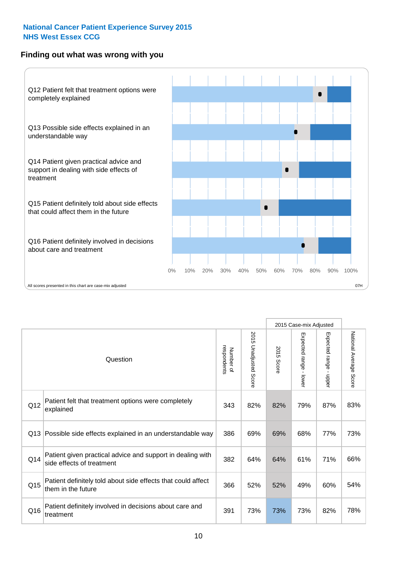# **Finding out what was wrong with you**



|                 |                                                                                         |                          |                          |            | 2015 Case-mix Adjusted                  |                           |                        |
|-----------------|-----------------------------------------------------------------------------------------|--------------------------|--------------------------|------------|-----------------------------------------|---------------------------|------------------------|
| Question        |                                                                                         | respondents<br>Number of | 2015<br>Unadjusted Score | 2015 Score | Expected range<br>$\mathbf{r}$<br>lower | Expected range -<br>nbber | National Average Score |
| Q12             | Patient felt that treatment options were completely<br>explained                        | 343                      | 82%                      | 82%        | 79%                                     | 87%                       | 83%                    |
| Q13             | Possible side effects explained in an understandable way                                | 386                      | 69%                      | 69%        | 68%                                     | 77%                       | 73%                    |
| Q14             | Patient given practical advice and support in dealing with<br>side effects of treatment | 382                      | 64%                      | 64%        | 61%                                     | 71%                       | 66%                    |
| Q <sub>15</sub> | Patient definitely told about side effects that could affect<br>them in the future      | 366                      | 52%                      | 52%        | 49%                                     | 60%                       | 54%                    |
| Q16             | Patient definitely involved in decisions about care and<br>treatment                    | 391                      | 73%                      | 73%        | 73%                                     | 82%                       | 78%                    |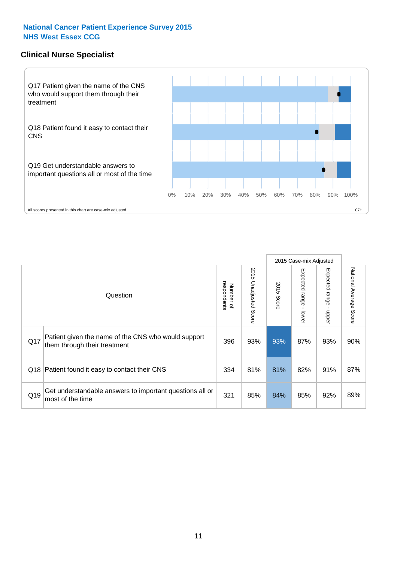# **Clinical Nurse Specialist**



|     |                                                                                     |                          |                       |               | 2015 Case-mix Adjusted  |                         |                                  |
|-----|-------------------------------------------------------------------------------------|--------------------------|-----------------------|---------------|-------------------------|-------------------------|----------------------------------|
|     | Question                                                                            | respondents<br>Number of | 2015 Unadjusted Score | 2015<br>Score | Expected range<br>lower | Expected range<br>nbber | National Average<br><b>Score</b> |
| Q17 | Patient given the name of the CNS who would support<br>them through their treatment | 396                      | 93%                   | 93%           | 87%                     | 93%                     | 90%                              |
| Q18 | Patient found it easy to contact their CNS                                          | 334                      | 81%                   | 81%           | 82%                     | 91%                     | 87%                              |
| Q19 | Get understandable answers to important questions all or<br>most of the time        | 321                      | 85%                   | 84%           | 85%                     | 92%                     | 89%                              |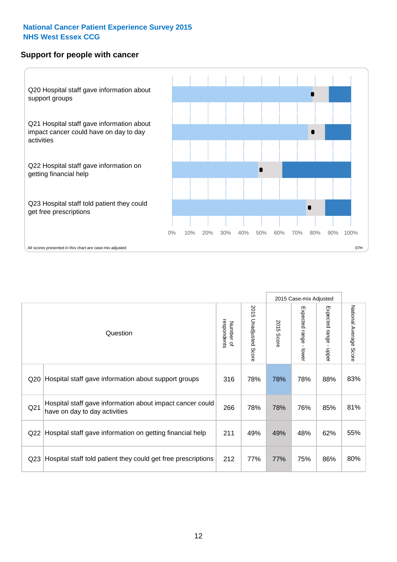# **Support for people with cancer**



|                 |                                                                                            |                          |                                 |               | 2015 Case-mix Adjusted  |                                         |                        |
|-----------------|--------------------------------------------------------------------------------------------|--------------------------|---------------------------------|---------------|-------------------------|-----------------------------------------|------------------------|
|                 | Question                                                                                   | respondents<br>Number of | 2015<br><b>Unadjusted Score</b> | 2015<br>Score | Expected range<br>lower | Expected range<br>$\mathbf{I}$<br>nbber | National Average Score |
| Q <sub>20</sub> | Hospital staff gave information about support groups                                       | 316                      | 78%                             | 78%           | 78%                     | 88%                                     | 83%                    |
| Q <sub>21</sub> | Hospital staff gave information about impact cancer could<br>have on day to day activities | 266                      | 78%                             | 78%           | 76%                     | 85%                                     | 81%                    |
| Q22             | Hospital staff gave information on getting financial help                                  | 211                      | 49%                             | 49%           | 48%                     | 62%                                     | 55%                    |
| Q <sub>23</sub> | Hospital staff told patient they could get free prescriptions                              | 212                      | 77%                             | 77%           | 75%                     | 86%                                     | 80%                    |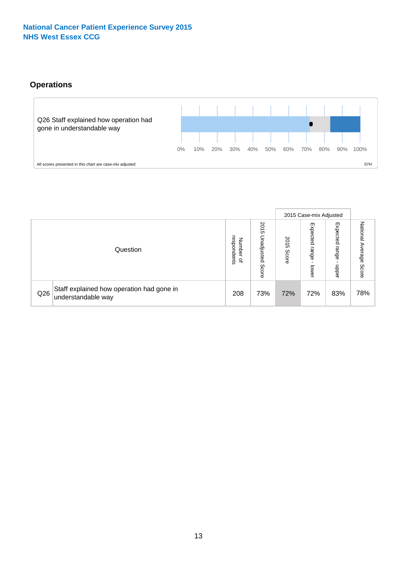# **Operations**



|     |                                                                 |                                         |                             |               | 2015 Case-mix Adjusted     |                           |                              |
|-----|-----------------------------------------------------------------|-----------------------------------------|-----------------------------|---------------|----------------------------|---------------------------|------------------------------|
|     | Question                                                        | respondents<br>Number<br>$\overline{a}$ | 2015<br>Unadjusted<br>Score | 2015<br>Score | Expected<br>range<br>lower | Expected<br>range<br>ddoe | National<br>Average<br>Score |
| Q26 | Staff explained how operation had gone in<br>understandable way | 208                                     | 73%                         | 72%           | 72%                        | 83%                       | 78%                          |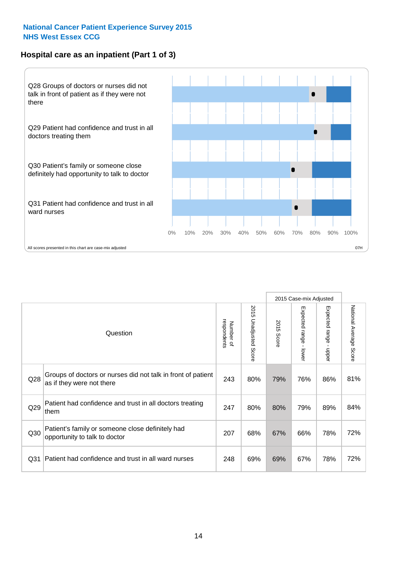# **Hospital care as an inpatient (Part 1 of 3)**



All scores presented in this chart are case-mix adjusted  $07H$ 

|                 |                                                                                           |                          |                                 |                      | 2015 Case-mix Adjusted                    |                                         |                        |
|-----------------|-------------------------------------------------------------------------------------------|--------------------------|---------------------------------|----------------------|-------------------------------------------|-----------------------------------------|------------------------|
|                 | Question                                                                                  | respondents<br>Number of | 2015<br><b>Unadjusted Score</b> | 2015<br><b>Score</b> | Expected range<br>$\blacksquare$<br>lower | Expected range<br>$\mathbf{I}$<br>nbber | National Average Score |
| Q28             | Groups of doctors or nurses did not talk in front of patient<br>as if they were not there | 243                      | 80%                             | 79%                  | 76%                                       | 86%                                     | 81%                    |
| Q29             | Patient had confidence and trust in all doctors treating<br>them                          | 247                      | 80%                             | 80%                  | 79%                                       | 89%                                     | 84%                    |
| Q30             | Patient's family or someone close definitely had<br>opportunity to talk to doctor         | 207                      | 68%                             | 67%                  | 66%                                       | 78%                                     | 72%                    |
| Q <sub>31</sub> | Patient had confidence and trust in all ward nurses                                       | 248                      | 69%                             | 69%                  | 67%                                       | 78%                                     | 72%                    |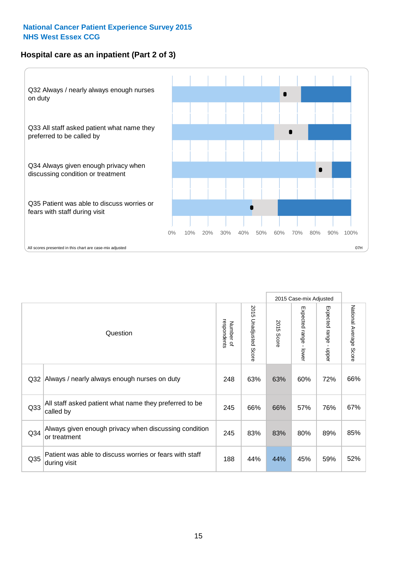# **Hospital care as an inpatient (Part 2 of 3)**



|                 |                                                                         |                          |                       |               | 2015 Case-mix Adjusted |                           |                           |
|-----------------|-------------------------------------------------------------------------|--------------------------|-----------------------|---------------|------------------------|---------------------------|---------------------------|
|                 | Question                                                                | respondents<br>Number of | 2015 Unadjusted Score | 2015<br>Score | Expected range - lower | Expected range<br>- nbber | National Average<br>Score |
| Q <sub>32</sub> | Always / nearly always enough nurses on duty                            | 248                      | 63%                   | 63%           | 60%                    | 72%                       | 66%                       |
| Q33             | All staff asked patient what name they preferred to be<br>called by     | 245                      | 66%                   | 66%           | 57%                    | 76%                       | 67%                       |
| Q <sub>34</sub> | Always given enough privacy when discussing condition<br>or treatment   | 245                      | 83%                   | 83%           | 80%                    | 89%                       | 85%                       |
| Q35             | Patient was able to discuss worries or fears with staff<br>during visit | 188                      | 44%                   | 44%           | 45%                    | 59%                       | 52%                       |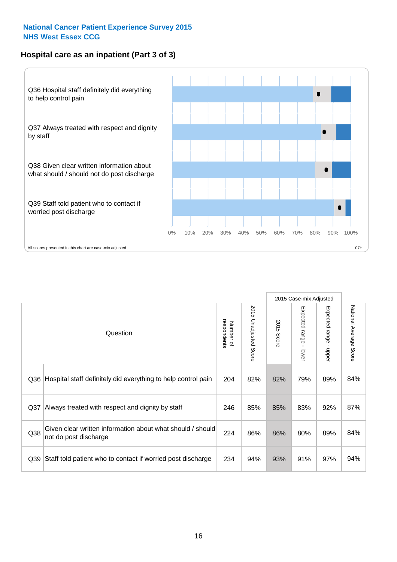# **Hospital care as an inpatient (Part 3 of 3)**



|                 |                                                                                     |                          |                          |               | 2015 Case-mix Adjusted                    |                           |                        |
|-----------------|-------------------------------------------------------------------------------------|--------------------------|--------------------------|---------------|-------------------------------------------|---------------------------|------------------------|
|                 | Question                                                                            | Number of<br>respondents | 2015<br>Unadjusted Score | 2015<br>Score | Expected range<br>$\blacksquare$<br>lower | Expected range -<br>nbber | National Average Score |
| Q36             | Hospital staff definitely did everything to help control pain                       | 204                      | 82%                      | 82%           | 79%                                       | 89%                       | 84%                    |
| Q <sub>37</sub> | Always treated with respect and dignity by staff                                    | 246                      | 85%                      | 85%           | 83%                                       | 92%                       | 87%                    |
| Q38             | Given clear written information about what should / should<br>not do post discharge | 224                      | 86%                      | 86%           | 80%                                       | 89%                       | 84%                    |
| Q39             | Staff told patient who to contact if worried post discharge                         | 234                      | 94%                      | 93%           | 91%                                       | 97%                       | 94%                    |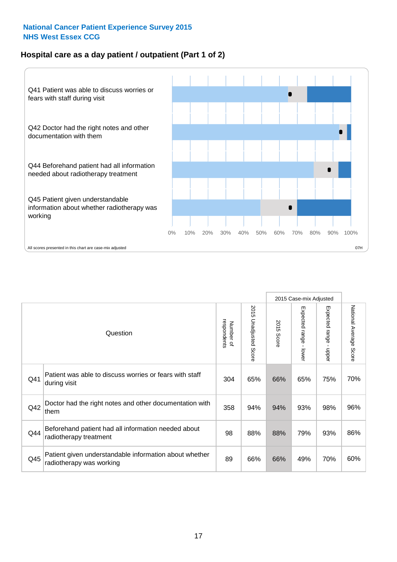# **Hospital care as a day patient / outpatient (Part 1 of 2)**



|     |                                                                                    |                          |                                 | 2015 Case-mix Adjusted |                                         |                                         |                        |
|-----|------------------------------------------------------------------------------------|--------------------------|---------------------------------|------------------------|-----------------------------------------|-----------------------------------------|------------------------|
|     | Question                                                                           | respondents<br>Number of | 2015<br><b>Unadjusted Score</b> | 2015<br><b>Score</b>   | Expected range<br>$\mathbf{r}$<br>lower | Expected range<br>$\mathbf{I}$<br>nbber | National Average Score |
| Q41 | Patient was able to discuss worries or fears with staff<br>during visit            | 304                      | 65%                             | 66%                    | 65%                                     | 75%                                     | 70%                    |
| Q42 | Doctor had the right notes and other documentation with<br>them                    | 358                      | 94%                             | 94%                    | 93%                                     | 98%                                     | 96%                    |
| Q44 | Beforehand patient had all information needed about<br>radiotherapy treatment      | 98                       | 88%                             | 88%                    | 79%                                     | 93%                                     | 86%                    |
| Q45 | Patient given understandable information about whether<br>radiotherapy was working | 89                       | 66%                             | 66%                    | 49%                                     | 70%                                     | 60%                    |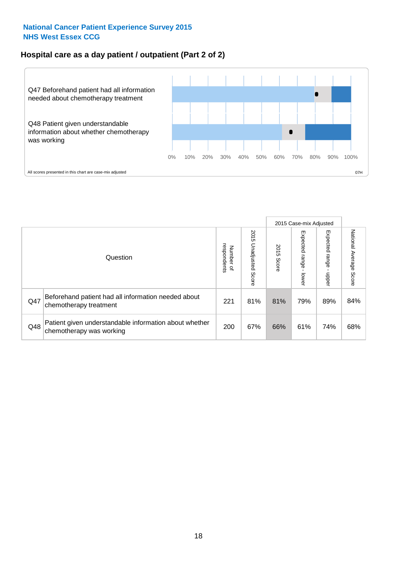# **Hospital care as a day patient / outpatient (Part 2 of 2)**



|     |                                                                                    |                                       |                             | 2015 Case-mix Adjusted |                              |                         |                           |
|-----|------------------------------------------------------------------------------------|---------------------------------------|-----------------------------|------------------------|------------------------------|-------------------------|---------------------------|
|     | Question                                                                           | respondents<br>Number<br>$\mathbf{Q}$ | 2015<br>Unadjusted<br>Score | 2015<br>Score          | Expected<br>I range<br>lower | Expected range<br>nbber | National Average<br>Score |
| Q47 | Beforehand patient had all information needed about<br>chemotherapy treatment      | 221                                   | 81%                         | 81%                    | 79%                          | 89%                     | 84%                       |
| Q48 | Patient given understandable information about whether<br>chemotherapy was working | 200                                   | 67%                         | 66%                    | 61%                          | 74%                     | 68%                       |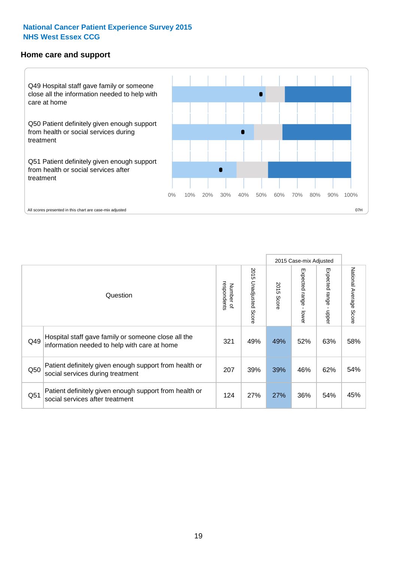#### **Home care and support**



All scores presented in this chart are case-mix adjusted

|     |                                                                                                     |                          |                          |               | 2015 Case-mix Adjusted  |                         |                        |
|-----|-----------------------------------------------------------------------------------------------------|--------------------------|--------------------------|---------------|-------------------------|-------------------------|------------------------|
|     | Question                                                                                            | respondents<br>Number of | 2015<br>Unadjusted Score | 2015<br>Score | Expected range<br>lower | Expected range<br>nbber | National Average Score |
| Q49 | Hospital staff gave family or someone close all the<br>information needed to help with care at home | 321                      | 49%                      | 49%           | 52%                     | 63%                     | 58%                    |
| Q50 | Patient definitely given enough support from health or<br>social services during treatment          | 207                      | 39%                      | 39%           | 46%                     | 62%                     | 54%                    |
| Q51 | Patient definitely given enough support from health or<br>social services after treatment           | 124                      | 27%                      | 27%           | 36%                     | 54%                     | 45%                    |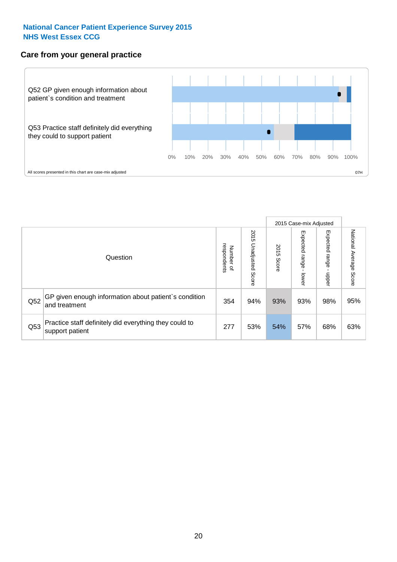# **Care from your general practice**



|     |                                                                           |                                       |                             | 2015 Case-mix Adjusted |                                    |                            |                           |
|-----|---------------------------------------------------------------------------|---------------------------------------|-----------------------------|------------------------|------------------------------------|----------------------------|---------------------------|
|     | Question                                                                  | respondents<br>Number<br>$\mathbf{Q}$ | 2015<br>Unadjusted<br>Score | 2015<br>Score          | Expected<br><b>Irange</b><br>lower | Expected<br>range<br>doper | National Average<br>Score |
| Q52 | GP given enough information about patient's condition<br>and treatment    | 354                                   | 94%                         | 93%                    | 93%                                | 98%                        | 95%                       |
| Q53 | Practice staff definitely did everything they could to<br>support patient | 277                                   | 53%                         | 54%                    | 57%                                | 68%                        | 63%                       |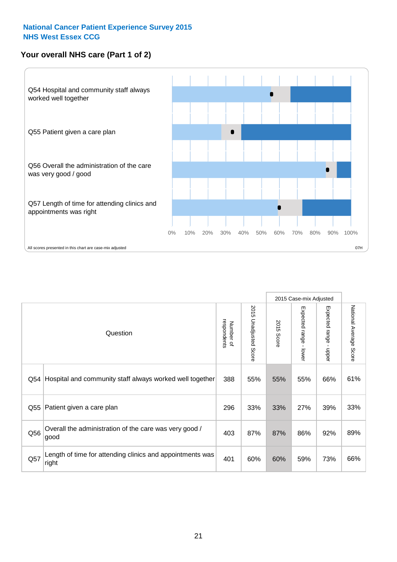# **Your overall NHS care (Part 1 of 2)**



|     |                                                                    |                          |                                 | 2015 Case-mix Adjusted |                                         |                                           |                        |
|-----|--------------------------------------------------------------------|--------------------------|---------------------------------|------------------------|-----------------------------------------|-------------------------------------------|------------------------|
|     | Question                                                           | respondents<br>Number of | 2015<br><b>Unadjusted Score</b> | 2015<br><b>Score</b>   | Expected range<br>$\mathbf{I}$<br>lower | Expected range<br>$\blacksquare$<br>nbber | National Average Score |
| Q54 | Hospital and community staff always worked well together           | 388                      | 55%                             | 55%                    | 55%                                     | 66%                                       | 61%                    |
| Q55 | Patient given a care plan                                          | 296                      | 33%                             | 33%                    | 27%                                     | 39%                                       | 33%                    |
| Q56 | Overall the administration of the care was very good /<br>good     | 403                      | 87%                             | 87%                    | 86%                                     | 92%                                       | 89%                    |
| Q57 | Length of time for attending clinics and appointments was<br>right | 401                      | 60%                             | 60%                    | 59%                                     | 73%                                       | 66%                    |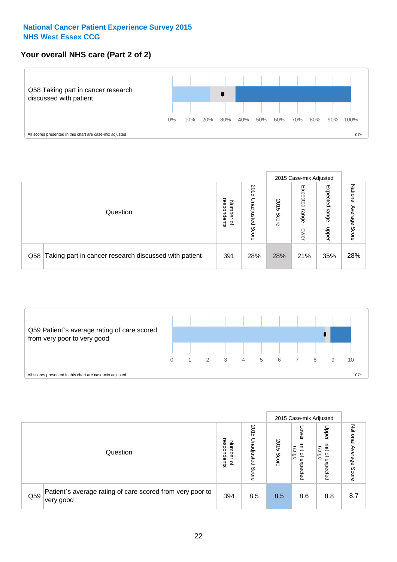# **Your overall NHS care (Part 2 of 2)**



|     |                                                       |                                   |                             |               |                            | 2015 Case-mix Adjusted     |                        |
|-----|-------------------------------------------------------|-----------------------------------|-----------------------------|---------------|----------------------------|----------------------------|------------------------|
|     | Question                                              | respondents<br>Number<br>$\Omega$ | 2015<br>Unadjusted<br>Score | 2015<br>Score | Expected<br>range<br>lower | Expected<br>range<br>nbber | National Average Score |
| Q58 | Taking part in cancer research discussed with patient | 391                               | 28%                         | 28%           | 21%                        | 35%                        | 28%                    |



|     |                                                                        |                                         |                             | 2015 Case-mix Adjusted |                                                      |                                                            |                           |
|-----|------------------------------------------------------------------------|-----------------------------------------|-----------------------------|------------------------|------------------------------------------------------|------------------------------------------------------------|---------------------------|
|     | Question                                                               | respondents<br>Number<br>$\overline{a}$ | 2015<br>Unadjusted<br>Score | 2015<br>Score          | OWer<br>limit<br>range<br>$\overline{a}$<br>expected | Upper<br>limit<br>range<br>$\overline{\sigma}$<br>expected | National Average<br>Score |
| Q59 | Patient's average rating of care scored from very poor to<br>very good | 394                                     | 8.5                         | 8.5                    | 8.6                                                  | 8.8                                                        | 8.7                       |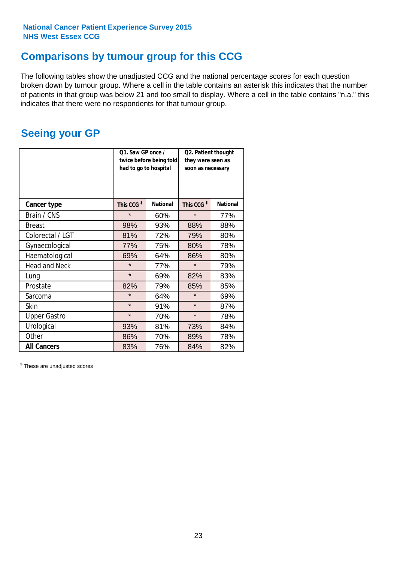# **Comparisons by tumour group for this CCG**

The following tables show the unadjusted CCG and the national percentage scores for each question broken down by tumour group. Where a cell in the table contains an asterisk this indicates that the number of patients in that group was below 21 and too small to display. Where a cell in the table contains "n.a." this indicates that there were no respondents for that tumour group.

# **Seeing your GP**

|                      | Q1. Saw GP once /<br>had to go to hospital | twice before being told | Q2. Patient thought<br>they were seen as<br>soon as necessary |                 |  |
|----------------------|--------------------------------------------|-------------------------|---------------------------------------------------------------|-----------------|--|
| <b>Cancer type</b>   | This CCG <sup>\$</sup>                     | <b>National</b>         | This CCG <sup>\$</sup>                                        | <b>National</b> |  |
| Brain / CNS          | $\star$                                    | 60%                     | $\star$                                                       | 77%             |  |
| <b>Breast</b>        | 98%                                        | 93%                     | 88%                                                           | 88%             |  |
| Colorectal / LGT     | 81%                                        | 72%                     | 79%                                                           | 80%             |  |
| Gynaecological       | 77%                                        | 75%                     | 80%                                                           | 78%             |  |
| Haematological       | 69%                                        | 64%                     | 86%                                                           | 80%             |  |
| <b>Head and Neck</b> | $\star$                                    | 77%                     | $\star$                                                       | 79%             |  |
| Lung                 | $\star$                                    | 69%                     | 82%                                                           | 83%             |  |
| Prostate             | 82%                                        | 79%                     | 85%                                                           | 85%             |  |
| Sarcoma              | $\star$                                    | 64%                     | $\star$                                                       | 69%             |  |
| Skin                 | $\star$                                    | 91%                     | $\star$                                                       | 87%             |  |
| <b>Upper Gastro</b>  | $\star$                                    | 70%                     | $\star$                                                       | 78%             |  |
| Urological           | 93%                                        | 81%                     | 73%                                                           | 84%             |  |
| Other                | 86%                                        | 70%                     | 89%                                                           | 78%             |  |
| <b>All Cancers</b>   | 83%                                        | 76%                     | 84%                                                           | 82%             |  |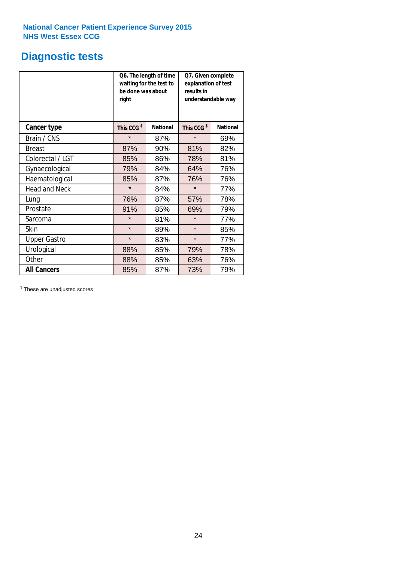# **Diagnostic tests**

|                      | be done was about<br>right | Q6. The length of time<br>waiting for the test to | Q7. Given complete<br>explanation of test<br>results in<br>understandable way |                 |  |
|----------------------|----------------------------|---------------------------------------------------|-------------------------------------------------------------------------------|-----------------|--|
| <b>Cancer type</b>   | This CCG <sup>\$</sup>     | <b>National</b>                                   | This CCG <sup>\$</sup>                                                        | <b>National</b> |  |
| Brain / CNS          | $\star$                    | 87%                                               | $\star$                                                                       | 69%             |  |
| <b>Breast</b>        | 87%                        | 90%                                               | 81%                                                                           | 82%             |  |
| Colorectal / LGT     | 85%                        | 86%                                               | 78%                                                                           | 81%             |  |
| Gynaecological       | 79%                        | 84%                                               | 64%                                                                           | 76%             |  |
| Haematological       | 85%                        | 87%                                               | 76%                                                                           | 76%             |  |
| <b>Head and Neck</b> | $\star$                    | 84%                                               | $\star$                                                                       | 77%             |  |
| Lung                 | 76%                        | 87%                                               | 57%                                                                           | 78%             |  |
| Prostate             | 91%                        | 85%                                               | 69%                                                                           | 79%             |  |
| Sarcoma              | $\star$                    | 81%                                               | $\star$                                                                       | 77%             |  |
| <b>Skin</b>          | $\star$                    | 89%                                               | $\star$                                                                       | 85%             |  |
| <b>Upper Gastro</b>  | $\star$                    | 83%                                               | $\star$                                                                       | 77%             |  |
| Urological           | 88%                        | 85%                                               | 79%                                                                           | 78%             |  |
| Other                | 88%                        | 85%                                               | 63%                                                                           | 76%             |  |
| <b>All Cancers</b>   | 85%                        | 87%                                               | 73%                                                                           | 79%             |  |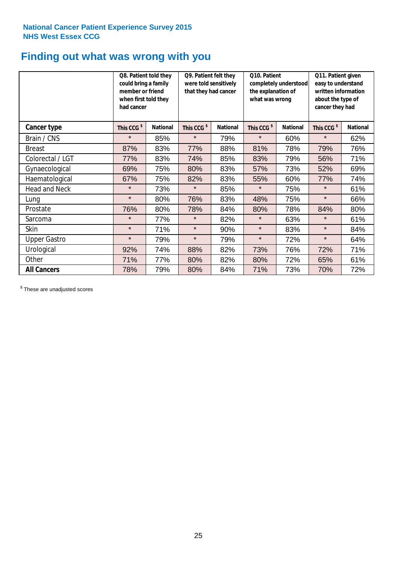# **Finding out what was wrong with you**

|                      | Q8. Patient told they<br>could bring a family<br>member or friend<br>when first told they<br>had cancer |                 | Q9. Patient felt they<br>were told sensitively<br>that they had cancer |                 | Q10. Patient<br>completely understood<br>the explanation of<br>what was wrong |                 | Q11. Patient given<br>easy to understand<br>written information<br>about the type of<br>cancer they had |                 |
|----------------------|---------------------------------------------------------------------------------------------------------|-----------------|------------------------------------------------------------------------|-----------------|-------------------------------------------------------------------------------|-----------------|---------------------------------------------------------------------------------------------------------|-----------------|
| Cancer type          | This CCG <sup>\$</sup>                                                                                  | <b>National</b> | This CCG <sup>\$</sup>                                                 | <b>National</b> | This CCG <sup>\$</sup>                                                        | <b>National</b> | This CCG <sup>\$</sup>                                                                                  | <b>National</b> |
| Brain / CNS          | $\star$                                                                                                 | 85%             | $\star$                                                                | 79%             | $\star$                                                                       | 60%             | $\star$                                                                                                 | 62%             |
| <b>Breast</b>        | 87%                                                                                                     | 83%             | 77%                                                                    | 88%             | 81%                                                                           | 78%             | 79%                                                                                                     | 76%             |
| Colorectal / LGT     | 77%                                                                                                     | 83%             | 74%                                                                    | 85%             | 83%                                                                           | 79%             | 56%                                                                                                     | 71%             |
| Gynaecological       | 69%                                                                                                     | 75%             | 80%                                                                    | 83%             | 57%                                                                           | 73%             | 52%                                                                                                     | 69%             |
| Haematological       | 67%                                                                                                     | 75%             | 82%                                                                    | 83%             | 55%                                                                           | 60%             | 77%                                                                                                     | 74%             |
| <b>Head and Neck</b> | $\star$                                                                                                 | 73%             | $\star$                                                                | 85%             | $\star$                                                                       | 75%             | $\star$                                                                                                 | 61%             |
| Lung                 | $\star$                                                                                                 | 80%             | 76%                                                                    | 83%             | 48%                                                                           | 75%             | $\star$                                                                                                 | 66%             |
| Prostate             | 76%                                                                                                     | 80%             | 78%                                                                    | 84%             | 80%                                                                           | 78%             | 84%                                                                                                     | 80%             |
| Sarcoma              | $\star$                                                                                                 | 77%             | $\star$                                                                | 82%             | $\star$                                                                       | 63%             | $\star$                                                                                                 | 61%             |
| Skin                 | $\star$                                                                                                 | 71%             | $\star$                                                                | 90%             | $\star$                                                                       | 83%             | $\star$                                                                                                 | 84%             |
| <b>Upper Gastro</b>  | $\star$                                                                                                 | 79%             | $\star$                                                                | 79%             | $\star$                                                                       | 72%             | $\star$                                                                                                 | 64%             |
| Urological           | 92%                                                                                                     | 74%             | 88%                                                                    | 82%             | 73%                                                                           | 76%             | 72%                                                                                                     | 71%             |
| Other                | 71%                                                                                                     | 77%             | 80%                                                                    | 82%             | 80%                                                                           | 72%             | 65%                                                                                                     | 61%             |
| <b>All Cancers</b>   | 78%                                                                                                     | 79%             | 80%                                                                    | 84%             | 71%                                                                           | 73%             | 70%                                                                                                     | 72%             |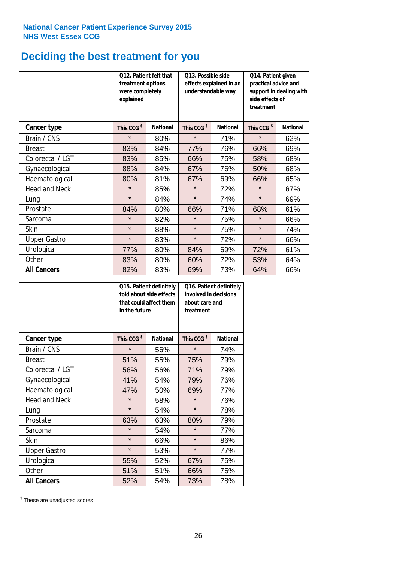# **Deciding the best treatment for you**

|                      | 012. Patient felt that<br>treatment options<br>were completely<br>explained |                 | O13. Possible side<br>understandable way | effects explained in an | Q14. Patient given<br>practical advice and<br>support in dealing with<br>side effects of<br>treatment |                 |  |
|----------------------|-----------------------------------------------------------------------------|-----------------|------------------------------------------|-------------------------|-------------------------------------------------------------------------------------------------------|-----------------|--|
| <b>Cancer type</b>   | This CCG <sup>\$</sup>                                                      | <b>National</b> | This CCG <sup>\$</sup>                   | <b>National</b>         | This CCG <sup>\$</sup>                                                                                | <b>National</b> |  |
| Brain / CNS          | $\star$                                                                     | 80%             | $\star$                                  | 71%                     | $\star$                                                                                               | 62%             |  |
| <b>Breast</b>        | 83%                                                                         | 84%             | 77%                                      | 76%                     | 66%                                                                                                   | 69%             |  |
| Colorectal / LGT     | 83%                                                                         | 85%             | 66%                                      | 75%                     | 58%                                                                                                   | 68%             |  |
| Gynaecological       | 88%                                                                         | 84%             | 67%                                      | 76%                     | 50%                                                                                                   | 68%             |  |
| Haematological       | 80%                                                                         | 81%             | 67%                                      | 69%                     | 66%                                                                                                   | 65%             |  |
| <b>Head and Neck</b> | $\star$                                                                     | 85%             | $\star$                                  | 72%                     | $\star$                                                                                               | 67%             |  |
| Lung                 | $\star$                                                                     | 84%             | $\star$                                  | 74%                     | $\star$                                                                                               | 69%             |  |
| Prostate             | 84%                                                                         | 80%             | 66%                                      | 71%                     | 68%                                                                                                   | 61%             |  |
| Sarcoma              | $\star$                                                                     | 82%             | $\star$                                  | 75%                     | $\star$                                                                                               | 66%             |  |
| Skin                 | $\star$                                                                     | 88%             | $\star$                                  | 75%                     | $\star$                                                                                               | 74%             |  |
| <b>Upper Gastro</b>  | $\star$                                                                     | 83%             | $\star$                                  | 72%                     | $\star$                                                                                               | 66%             |  |
| Urological           | 77%                                                                         | 80%             | 84%                                      | 69%                     | 72%                                                                                                   | 61%             |  |
| Other                | 83%                                                                         | 80%             | 60%                                      | 72%                     | 53%                                                                                                   | 64%             |  |
| <b>All Cancers</b>   | 82%                                                                         | 83%             | 69%                                      | 73%                     | 64%                                                                                                   | 66%             |  |

|                      | in the future          | Q15. Patient definitely<br>told about side effects<br>that could affect them | Q16. Patient definitely<br>involved in decisions<br>about care and<br>treatment |                 |  |
|----------------------|------------------------|------------------------------------------------------------------------------|---------------------------------------------------------------------------------|-----------------|--|
| <b>Cancer type</b>   | This CCG <sup>\$</sup> | <b>National</b>                                                              | This CCG <sup>\$</sup>                                                          | <b>National</b> |  |
| Brain / CNS          | $\star$                | 56%                                                                          | $\star$                                                                         | 74%             |  |
| <b>Breast</b>        | 51%                    | 55%                                                                          | 75%                                                                             | 79%             |  |
| Colorectal / LGT     | 56%                    | 56%                                                                          | 71%                                                                             | 79%             |  |
| Gynaecological       | 41%<br>54%             |                                                                              | 79%                                                                             | 76%             |  |
| Haematological       | 47%<br>50%             |                                                                              | 69%                                                                             | 77%             |  |
| <b>Head and Neck</b> | $\star$                | 58%                                                                          | $\star$                                                                         | 76%             |  |
| Lung                 | $\star$                | 54%                                                                          | $\star$                                                                         | 78%             |  |
| Prostate             | 63%                    | 63%                                                                          | 80%                                                                             | 79%             |  |
| Sarcoma              | $\star$                | 54%                                                                          | $\star$                                                                         | 77%             |  |
| <b>Skin</b>          | $\star$                | 66%                                                                          | $\star$                                                                         | 86%             |  |
| <b>Upper Gastro</b>  | $\star$                | 53%                                                                          | $\star$                                                                         | 77%             |  |
| Urological           | 55%                    | 52%                                                                          | 67%                                                                             | 75%             |  |
| Other                | 51%                    | 51%                                                                          | 66%                                                                             | 75%             |  |
| <b>All Cancers</b>   | 52%                    | 54%                                                                          | 73%                                                                             | 78%             |  |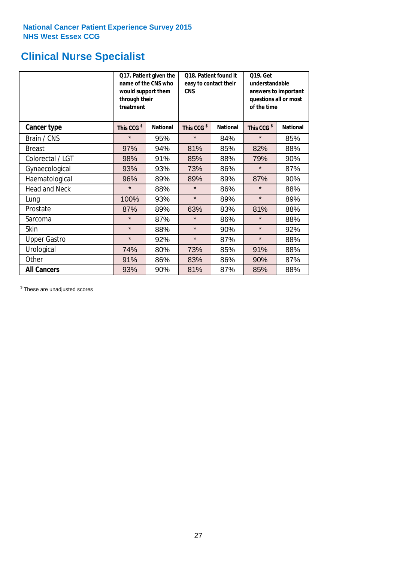# **Clinical Nurse Specialist**

|                      | would support them<br>through their<br>treatment | Q17. Patient given the<br>name of the CNS who | Q18. Patient found it<br>easy to contact their<br><b>CNS</b> |                 | <b>Q19. Get</b><br>understandable<br>answers to important<br>questions all or most<br>of the time |                 |
|----------------------|--------------------------------------------------|-----------------------------------------------|--------------------------------------------------------------|-----------------|---------------------------------------------------------------------------------------------------|-----------------|
| <b>Cancer type</b>   | This CCG <sup>\$</sup>                           | <b>National</b>                               | This CCG <sup>\$</sup>                                       | <b>National</b> | This CCG <sup>\$</sup>                                                                            | <b>National</b> |
| Brain / CNS          | $\star$                                          | 95%                                           | $\star$                                                      | 84%             | $\star$                                                                                           | 85%             |
| <b>Breast</b>        | 97%                                              | 94%                                           | 81%                                                          | 85%             | 82%                                                                                               | 88%             |
| Colorectal / LGT     | 98%                                              | 91%                                           | 85%                                                          | 88%             | 79%                                                                                               | 90%             |
| Gynaecological       | 93%                                              | 93%                                           | 73%                                                          | 86%             | $\star$                                                                                           | 87%             |
| Haematological       | 96%                                              | 89%                                           | 89%                                                          | 89%             | 87%                                                                                               | 90%             |
| <b>Head and Neck</b> | $\star$                                          | 88%                                           | $\star$                                                      | 86%             | $\star$                                                                                           | 88%             |
| Lung                 | 100%                                             | 93%                                           | $\star$                                                      | 89%             | $\star$                                                                                           | 89%             |
| Prostate             | 87%                                              | 89%                                           | 63%                                                          | 83%             | 81%                                                                                               | 88%             |
| Sarcoma              | $\star$                                          | 87%                                           | $\star$                                                      | 86%             | $\star$                                                                                           | 88%             |
| Skin                 | $\star$                                          | 88%                                           | $\star$                                                      | 90%             | $\star$                                                                                           | 92%             |
| <b>Upper Gastro</b>  | $\star$                                          | 92%                                           | $\star$                                                      | 87%             | $\star$                                                                                           | 88%             |
| Urological           | 74%                                              | 80%                                           | 73%                                                          | 85%             | 91%                                                                                               | 88%             |
| Other                | 91%                                              | 86%                                           | 83%                                                          | 86%             | 90%                                                                                               | 87%             |
| <b>All Cancers</b>   | 93%                                              | 90%                                           | 81%                                                          | 87%             | 85%                                                                                               | 88%             |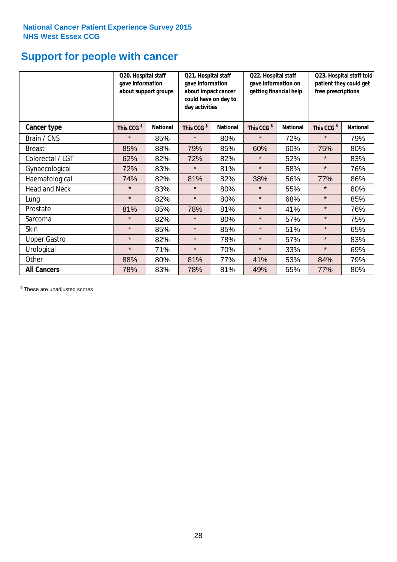# **Support for people with cancer**

|                      | gave information       | Q20. Hospital staff<br>Q21. Hospital staff<br>gave information<br>about support groups<br>about impact cancer<br>could have on day to<br>day activities |                        |                 | Q22. Hospital staff<br>gave information on<br>getting financial help |                 | Q23. Hospital staff told<br>patient they could get<br>free prescriptions |                 |
|----------------------|------------------------|---------------------------------------------------------------------------------------------------------------------------------------------------------|------------------------|-----------------|----------------------------------------------------------------------|-----------------|--------------------------------------------------------------------------|-----------------|
| Cancer type          | This CCG <sup>\$</sup> | <b>National</b>                                                                                                                                         | This CCG <sup>\$</sup> | <b>National</b> | This CCG <sup>\$</sup>                                               | <b>National</b> | This CCG <sup>\$</sup>                                                   | <b>National</b> |
| Brain / CNS          | $\star$                | 85%                                                                                                                                                     | $\star$                | 80%             | $\star$                                                              | 72%             | $\star$                                                                  | 79%             |
| <b>Breast</b>        | 85%                    | 88%                                                                                                                                                     | 79%                    | 85%             | 60%                                                                  | 60%             | 75%                                                                      | 80%             |
| Colorectal / LGT     | 62%                    | 82%                                                                                                                                                     | 72%                    | 82%             | $\star$                                                              | 52%             | $\star$                                                                  | 83%             |
| Gynaecological       | 72%                    | 83%                                                                                                                                                     | $\star$                | 81%             | $\star$                                                              | 58%             | $\star$                                                                  | 76%             |
| Haematological       | 74%                    | 82%                                                                                                                                                     | 81%                    | 82%             | 38%                                                                  | 56%             | 77%                                                                      | 86%             |
| <b>Head and Neck</b> | $\star$                | 83%                                                                                                                                                     | $\star$                | 80%             | $\star$                                                              | 55%             | $\star$                                                                  | 80%             |
| Lung                 | $\star$                | 82%                                                                                                                                                     | $\star$                | 80%             | $\star$                                                              | 68%             | $\star$                                                                  | 85%             |
| Prostate             | 81%                    | 85%                                                                                                                                                     | 78%                    | 81%             | $\star$                                                              | 41%             | $\star$                                                                  | 76%             |
| Sarcoma              | $\star$                | 82%                                                                                                                                                     | $\star$                | 80%             | $\star$                                                              | 57%             | $\star$                                                                  | 75%             |
| Skin                 | $\star$                | 85%                                                                                                                                                     | $\star$                | 85%             | $\star$                                                              | 51%             | $\star$                                                                  | 65%             |
| <b>Upper Gastro</b>  | $\star$                | 82%                                                                                                                                                     | $\star$                | 78%             | $\star$                                                              | 57%             | $\star$                                                                  | 83%             |
| Urological           | $\star$                | 71%                                                                                                                                                     | $\star$                | 70%             | $\star$                                                              | 33%             | $\star$                                                                  | 69%             |
| Other                | 88%                    | 80%                                                                                                                                                     | 81%                    | 77%             | 41%                                                                  | 53%             | 84%                                                                      | 79%             |
| <b>All Cancers</b>   | 78%                    | 83%                                                                                                                                                     | 78%                    | 81%             | 49%                                                                  | 55%             | 77%                                                                      | 80%             |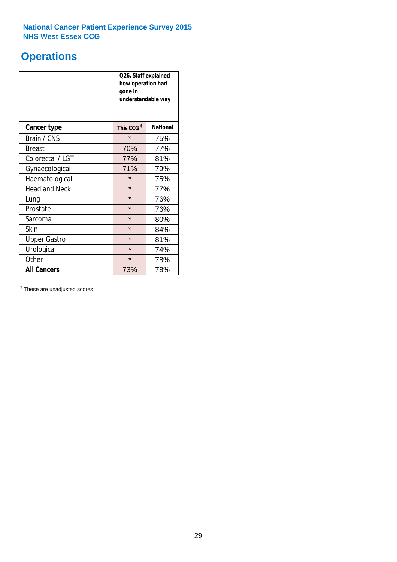# **Operations**

|                      | Q26. Staff explained<br>how operation had<br>gone in<br>understandable way |                 |  |  |
|----------------------|----------------------------------------------------------------------------|-----------------|--|--|
| <b>Cancer type</b>   | This CCG <sup>\$</sup>                                                     | <b>National</b> |  |  |
| Brain / CNS          | $\star$                                                                    | 75%             |  |  |
| <b>Breast</b>        | 70%                                                                        | 77%             |  |  |
| Colorectal / LGT     | 77%                                                                        | 81%             |  |  |
| Gynaecological       | 71%                                                                        | 79%             |  |  |
| Haematological       | $\star$<br>75%                                                             |                 |  |  |
| <b>Head and Neck</b> | $\star$                                                                    | 77%             |  |  |
| Lung                 | $\star$                                                                    | 76%             |  |  |
| Prostate             | $\star$                                                                    | 76%             |  |  |
| Sarcoma              | $\star$                                                                    | 80%             |  |  |
| Skin                 | $\star$                                                                    | 84%             |  |  |
| <b>Upper Gastro</b>  | $\star$                                                                    | 81%             |  |  |
| Urological           | $\star$                                                                    | 74%             |  |  |
| Other                | $\star$<br>78%                                                             |                 |  |  |
| <b>All Cancers</b>   | 73%                                                                        | 78%             |  |  |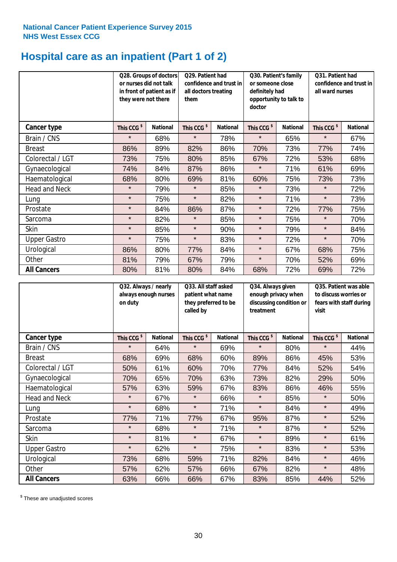# **Hospital care as an inpatient (Part 1 of 2)**

|                      | or nurses did not talk<br>they were not there | Q28. Groups of doctors<br>in front of patient as if | Q29. Patient had<br>confidence and trust in<br>all doctors treating<br>them |                 | Q30. Patient's family<br>or someone close<br>definitely had<br>opportunity to talk to<br>doctor |                 | Q31. Patient had<br>confidence and trust in I<br>all ward nurses |                 |
|----------------------|-----------------------------------------------|-----------------------------------------------------|-----------------------------------------------------------------------------|-----------------|-------------------------------------------------------------------------------------------------|-----------------|------------------------------------------------------------------|-----------------|
| Cancer type          | This CCG <sup>\$</sup>                        | <b>National</b>                                     | This CCG <sup>\$</sup>                                                      | <b>National</b> | This CCG <sup>\$</sup>                                                                          | <b>National</b> | This CCG <sup>\$</sup>                                           | <b>National</b> |
| Brain / CNS          | $\star$                                       | 68%                                                 | $\star$                                                                     | 78%             | $\star$                                                                                         | 65%             | $\star$                                                          | 67%             |
| <b>Breast</b>        | 86%                                           | 89%                                                 | 82%                                                                         | 86%             | 70%                                                                                             | 73%             | 77%                                                              | 74%             |
| Colorectal / LGT     | 73%                                           | 75%                                                 | 80%                                                                         | 85%             | 67%                                                                                             | 72%             | 53%                                                              | 68%             |
| Gynaecological       | 74%                                           | 84%                                                 | 87%                                                                         | 86%             | $\star$                                                                                         | 71%             | 61%                                                              | 69%             |
| Haematological       | 68%                                           | 80%                                                 | 69%                                                                         | 81%             | 60%                                                                                             | 75%             | 73%                                                              | 73%             |
| <b>Head and Neck</b> | $\star$                                       | 79%                                                 | $\star$                                                                     | 85%             | $\star$                                                                                         | 73%             | $\star$                                                          | 72%             |
| Lung                 | $\star$                                       | 75%                                                 | $\star$                                                                     | 82%             | $\star$                                                                                         | 71%             | $\star$                                                          | 73%             |
| Prostate             | $\star$                                       | 84%                                                 | 86%                                                                         | 87%             | $\star$                                                                                         | 72%             | 77%                                                              | 75%             |
| Sarcoma              | $\star$                                       | 82%                                                 | $\star$                                                                     | 85%             | $\star$                                                                                         | 75%             | $\star$                                                          | 70%             |
| Skin                 | $\star$                                       | 85%                                                 | $\star$                                                                     | 90%             | $\star$                                                                                         | 79%             | $\star$                                                          | 84%             |
| <b>Upper Gastro</b>  | $\star$                                       | 75%                                                 | $\star$                                                                     | 83%             | $\star$                                                                                         | 72%             | $\star$                                                          | 70%             |
| Urological           | 86%                                           | 80%                                                 | 77%                                                                         | 84%             | $\star$                                                                                         | 67%             | 68%                                                              | 75%             |
| Other                | 81%                                           | 79%                                                 | 67%                                                                         | 79%             | $\star$                                                                                         | 70%             | 52%                                                              | 69%             |
| <b>All Cancers</b>   | 80%                                           | 81%                                                 | 80%                                                                         | 84%             | 68%                                                                                             | 72%             | 69%                                                              | 72%             |

|                      | on duty                | Q32. Always / nearly<br>always enough nurses |                        | Q33. All staff asked<br>patient what name<br>they preferred to be | Q34. Always given<br>enough privacy when<br>discussing condition or<br>treatment |                 | Q35. Patient was able<br>to discuss worries or<br>fears with staff during<br>visit |                 |
|----------------------|------------------------|----------------------------------------------|------------------------|-------------------------------------------------------------------|----------------------------------------------------------------------------------|-----------------|------------------------------------------------------------------------------------|-----------------|
| <b>Cancer type</b>   | This CCG <sup>\$</sup> | <b>National</b>                              | This CCG <sup>\$</sup> | <b>National</b>                                                   | This CCG <sup>\$</sup>                                                           | <b>National</b> | This CCG <sup>\$</sup>                                                             | <b>National</b> |
| Brain / CNS          | $\star$                | 64%                                          | $\star$                | 69%                                                               | $\star$                                                                          | 80%             | $\star$                                                                            | 44%             |
| <b>Breast</b>        | 68%                    | 69%                                          | 68%                    | 60%                                                               | 89%                                                                              | 86%             | 45%                                                                                | 53%             |
| Colorectal / LGT     | 50%                    | 61%                                          | 60%                    | 70%                                                               | 77%                                                                              | 84%             | 52%                                                                                | 54%             |
| Gynaecological       | 70%                    | 65%                                          | 70%                    | 63%                                                               | 73%                                                                              | 82%             | 29%                                                                                | 50%             |
| Haematological       | 57%                    | 63%                                          | 59%                    | 67%                                                               | 83%                                                                              | 86%             | 46%                                                                                | 55%             |
| <b>Head and Neck</b> | $\star$                | 67%                                          | $\star$                | 66%                                                               | $\star$                                                                          | 85%             | $\star$                                                                            | 50%             |
| Lung                 | $\star$                | 68%                                          | $\star$                | 71%                                                               | $\star$                                                                          | 84%             | $\star$                                                                            | 49%             |
| Prostate             | 77%                    | 71%                                          | 77%                    | 67%                                                               | 95%                                                                              | 87%             | $\star$                                                                            | 52%             |
| Sarcoma              | $\star$                | 68%                                          | $\star$                | 71%                                                               | $\star$                                                                          | 87%             | $\star$                                                                            | 52%             |
| Skin                 | $\star$                | 81%                                          | $\star$                | 67%                                                               | $\star$                                                                          | 89%             | $\star$                                                                            | 61%             |
| <b>Upper Gastro</b>  | $\star$                | 62%                                          | $\star$                | 75%                                                               | $\star$                                                                          | 83%             | $\star$                                                                            | 53%             |
| Urological           | 73%                    | 68%                                          | 59%                    | 71%                                                               | 82%                                                                              | 84%             | $\star$                                                                            | 46%             |
| Other                | 57%                    | 62%                                          | 57%                    | 66%                                                               | 67%                                                                              | 82%             | $\star$                                                                            | 48%             |
| <b>All Cancers</b>   | 63%                    | 66%                                          | 66%                    | 67%                                                               | 83%                                                                              | 85%             | 44%                                                                                | 52%             |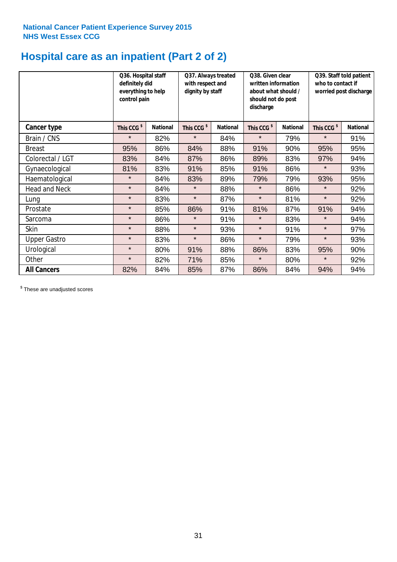# **Hospital care as an inpatient (Part 2 of 2)**

|                      | Q36. Hospital staff<br>definitely did<br>everything to help<br>control pain |                 | Q37. Always treated<br>with respect and<br>dignity by staff |                 | Q38. Given clear<br>written information<br>about what should /<br>should not do post<br>discharge |                 | Q39. Staff told patient<br>who to contact if<br>worried post discharge |                 |  |
|----------------------|-----------------------------------------------------------------------------|-----------------|-------------------------------------------------------------|-----------------|---------------------------------------------------------------------------------------------------|-----------------|------------------------------------------------------------------------|-----------------|--|
| Cancer type          | This CCG <sup>\$</sup>                                                      | <b>National</b> | This CCG <sup>\$</sup>                                      | <b>National</b> | This CCG <sup>\$</sup>                                                                            | <b>National</b> | This CCG <sup>\$</sup>                                                 | <b>National</b> |  |
| Brain / CNS          | $\star$                                                                     | 82%             | $\star$                                                     | 84%             | $\star$                                                                                           | 79%             | $\star$                                                                | 91%             |  |
| <b>Breast</b>        | 95%                                                                         | 86%             | 84%                                                         | 88%             | 91%                                                                                               | 90%             | 95%                                                                    | 95%             |  |
| Colorectal / LGT     | 83%                                                                         | 84%             | 87%                                                         | 86%             | 89%                                                                                               | 83%             | 97%                                                                    | 94%             |  |
| Gynaecological       | 81%                                                                         | 83%             | 91%                                                         | 85%             | 91%                                                                                               | 86%             | $\star$                                                                | 93%             |  |
| Haematological       | $\star$                                                                     | 84%             | 83%                                                         | 89%             | 79%                                                                                               | 79%             | 93%                                                                    | 95%             |  |
| <b>Head and Neck</b> | $\star$                                                                     | 84%             | $\star$                                                     | 88%             | $\star$                                                                                           | 86%             | $\star$                                                                | 92%             |  |
| Lung                 | $\star$                                                                     | 83%             | $\star$                                                     | 87%             | $\star$                                                                                           | 81%             | $\star$                                                                | 92%             |  |
| Prostate             | $\star$                                                                     | 85%             | 86%                                                         | 91%             | 81%                                                                                               | 87%             | 91%                                                                    | 94%             |  |
| Sarcoma              | $\star$                                                                     | 86%             | $\star$                                                     | 91%             | $\star$                                                                                           | 83%             | $\star$                                                                | 94%             |  |
| Skin                 | $\star$                                                                     | 88%             | $\star$                                                     | 93%             | $\star$                                                                                           | 91%             | $\star$                                                                | 97%             |  |
| <b>Upper Gastro</b>  | $\star$                                                                     | 83%             | $\star$                                                     | 86%             | $\star$                                                                                           | 79%             | $\star$                                                                | 93%             |  |
| Urological           | $\star$                                                                     | 80%             | 91%                                                         | 88%             | 86%                                                                                               | 83%             | 95%                                                                    | 90%             |  |
| Other                | $\star$                                                                     | 82%             | 71%                                                         | 85%             | $\star$                                                                                           | 80%             | $\star$                                                                | 92%             |  |
| <b>All Cancers</b>   | 82%                                                                         | 84%             | 85%                                                         | 87%             | 86%                                                                                               | 84%             | 94%                                                                    | 94%             |  |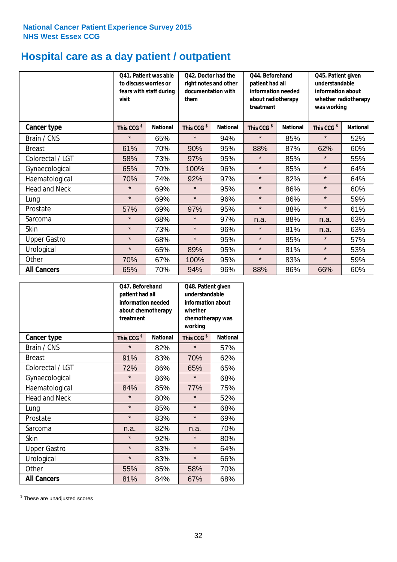# **Hospital care as a day patient / outpatient**

|                      | to discuss worries or<br>visit | Q41. Patient was able<br>fears with staff during | Q42. Doctor had the<br>right notes and other<br>documentation with<br>them |                 | Q44. Beforehand<br>patient had all<br>information needed<br>about radiotherapy<br>treatment |                 | Q45. Patient given<br>understandable<br>information about<br>whether radiotherapy<br>was working |                 |
|----------------------|--------------------------------|--------------------------------------------------|----------------------------------------------------------------------------|-----------------|---------------------------------------------------------------------------------------------|-----------------|--------------------------------------------------------------------------------------------------|-----------------|
| <b>Cancer type</b>   | This CCG <sup>\$</sup>         | <b>National</b>                                  | This CCG <sup>\$</sup>                                                     | <b>National</b> | This CCG <sup>\$</sup>                                                                      | <b>National</b> | This CCG <sup>\$</sup>                                                                           | <b>National</b> |
| Brain / CNS          | $\star$                        | 65%                                              | $\star$                                                                    | 94%             | $\star$                                                                                     | 85%             | $\star$                                                                                          | 52%             |
| <b>Breast</b>        | 61%                            | 70%                                              | 90%                                                                        | 95%             | 88%                                                                                         | 87%             | 62%                                                                                              | 60%             |
| Colorectal / LGT     | 58%                            | 73%                                              | 97%                                                                        | 95%             | $\star$                                                                                     | 85%             | $\star$                                                                                          | 55%             |
| Gynaecological       | 65%                            | 70%                                              | 100%                                                                       | 96%             | $\star$                                                                                     | 85%             | $\star$                                                                                          | 64%             |
| Haematological       | 70%                            | 74%                                              | 92%                                                                        | 97%             | $\star$                                                                                     | 82%             | $\star$                                                                                          | 64%             |
| <b>Head and Neck</b> | $\star$                        | 69%                                              | $\star$                                                                    | 95%             | $\star$                                                                                     | 86%             | $\star$                                                                                          | 60%             |
| Lung                 | $\star$                        | 69%                                              | $\star$                                                                    | 96%             | $\star$                                                                                     | 86%             | $\star$                                                                                          | 59%             |
| Prostate             | 57%                            | 69%                                              | 97%                                                                        | 95%             | $\star$                                                                                     | 88%             | $\star$                                                                                          | 61%             |
| Sarcoma              | $\star$                        | 68%                                              | $\star$                                                                    | 97%             | n.a.                                                                                        | 88%             | n.a.                                                                                             | 63%             |
| Skin                 | $\star$                        | 73%                                              | $\star$                                                                    | 96%             | $\star$                                                                                     | 81%             | n.a.                                                                                             | 63%             |
| <b>Upper Gastro</b>  | $\star$                        | 68%                                              | $\star$                                                                    | 95%             | $\star$                                                                                     | 85%             | $\star$                                                                                          | 57%             |
| Urological           | $\star$                        | 65%                                              | 89%                                                                        | 95%             | $\star$                                                                                     | 81%             | $\star$                                                                                          | 53%             |
| Other                | 70%                            | 67%                                              | 100%                                                                       | 95%             | $\star$                                                                                     | 83%             | $\star$                                                                                          | 59%             |
| <b>All Cancers</b>   | 65%                            | 70%                                              | 94%                                                                        | 96%             | 88%                                                                                         | 86%             | 66%                                                                                              | 60%             |

|                      | O47. Beforehand<br>patient had all<br>information needed<br>about chemotherapy<br>treatment |                 | Q48. Patient given<br>understandable<br>information about<br>whether<br>chemotherapy was<br>working |                 |  |
|----------------------|---------------------------------------------------------------------------------------------|-----------------|-----------------------------------------------------------------------------------------------------|-----------------|--|
| <b>Cancer type</b>   | This CCG <sup>\$</sup>                                                                      | <b>National</b> | This CCG <sup>\$</sup>                                                                              | <b>National</b> |  |
| Brain / CNS          | $\star$                                                                                     | 82%             | $\star$                                                                                             | 57%             |  |
| <b>Breast</b>        | 91%                                                                                         | 83%             | 70%                                                                                                 | 62%             |  |
| Colorectal / LGT     | 72%                                                                                         | 86%             | 65%                                                                                                 | 65%             |  |
| Gynaecological       | $\star$                                                                                     | 86%             | $\star$                                                                                             | 68%             |  |
| Haematological       | 84%<br>85%                                                                                  |                 | 77%                                                                                                 | 75%             |  |
| <b>Head and Neck</b> | $\star$                                                                                     | 80%             | $\star$                                                                                             | 52%             |  |
| Lung                 | $\star$                                                                                     | 85%             | $\star$                                                                                             | 68%             |  |
| Prostate             | $\star$                                                                                     | 83%             | $\star$                                                                                             | 69%             |  |
| Sarcoma              | n.a.                                                                                        | 82%             | n.a.                                                                                                | 70%             |  |
| Skin                 | $\star$                                                                                     | 92%             | $\star$                                                                                             | 80%             |  |
| <b>Upper Gastro</b>  | $\star$                                                                                     | 83%             | $\star$                                                                                             | 64%             |  |
| Urological           | $\star$                                                                                     | 83%             | $\star$                                                                                             | 66%             |  |
| Other                | 55%                                                                                         | 85%             | 58%                                                                                                 | 70%             |  |
| <b>All Cancers</b>   | 81%                                                                                         | 84%             | 67%                                                                                                 | 68%             |  |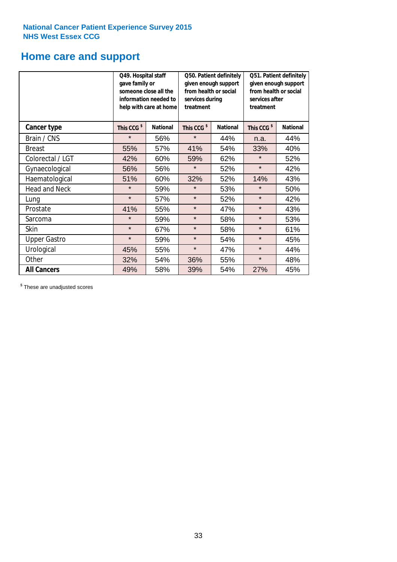# **Home care and support**

|                      | Q49. Hospital staff<br>gave family or | someone close all the<br>information needed to<br>help with care at home | Q50. Patient definitely<br>given enough support<br>from health or social<br>services during<br>treatment |                 | Q51. Patient definitely<br>given enough support<br>from health or social<br>services after<br>treatment |                 |
|----------------------|---------------------------------------|--------------------------------------------------------------------------|----------------------------------------------------------------------------------------------------------|-----------------|---------------------------------------------------------------------------------------------------------|-----------------|
| <b>Cancer type</b>   | This CCG <sup>\$</sup>                | <b>National</b>                                                          | This CCG <sup>\$</sup>                                                                                   | <b>National</b> | This CCG <sup>\$</sup>                                                                                  | <b>National</b> |
| Brain / CNS          | $\star$                               | 56%                                                                      | $\star$                                                                                                  | 44%             | n.a.                                                                                                    | 44%             |
| <b>Breast</b>        | 55%                                   | 57%                                                                      | 41%                                                                                                      | 54%             | 33%                                                                                                     | 40%             |
| Colorectal / LGT     | 42%                                   | 60%                                                                      | 59%                                                                                                      | 62%             | $\star$                                                                                                 | 52%             |
| Gynaecological       | 56%                                   | 56%                                                                      | $\star$                                                                                                  | 52%             | $\star$                                                                                                 | 42%             |
| Haematological       | 51%                                   | 60%                                                                      | 32%                                                                                                      | 52%             | 14%                                                                                                     | 43%             |
| <b>Head and Neck</b> | $\star$                               | 59%                                                                      | $\star$                                                                                                  | 53%             | $\star$                                                                                                 | 50%             |
| Lung                 | $\star$                               | 57%                                                                      | $\star$                                                                                                  | 52%             | $\star$                                                                                                 | 42%             |
| Prostate             | 41%                                   | 55%                                                                      | $\star$                                                                                                  | 47%             | $\star$                                                                                                 | 43%             |
| Sarcoma              | $\star$                               | 59%                                                                      | $\star$                                                                                                  | 58%             | $\star$                                                                                                 | 53%             |
| Skin                 | $\star$                               | 67%                                                                      | $\star$                                                                                                  | 58%             | $\star$                                                                                                 | 61%             |
| <b>Upper Gastro</b>  | $\star$                               | 59%                                                                      | $\star$                                                                                                  | 54%             | $\star$                                                                                                 | 45%             |
| Urological           | 45%                                   | 55%                                                                      | $\star$                                                                                                  | 47%             | $\star$                                                                                                 | 44%             |
| Other                | 32%                                   | 54%                                                                      | 36%                                                                                                      | 55%             | $\star$                                                                                                 | 48%             |
| <b>All Cancers</b>   | 49%                                   | 58%                                                                      | 39%                                                                                                      | 54%             | 27%                                                                                                     | 45%             |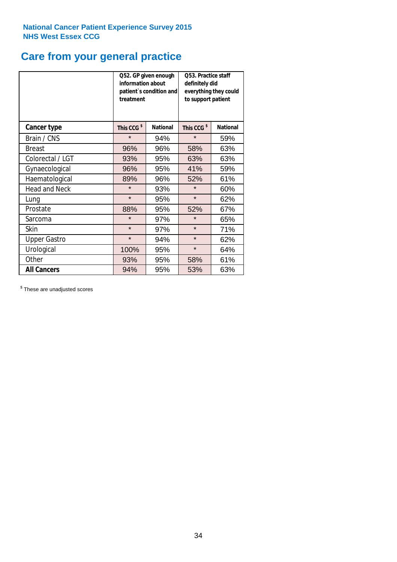# **Care from your general practice**

|                      | information about<br>treatment | Q52. GP given enough<br>patient's condition and | Q53. Practice staff<br>definitely did<br>everything they could<br>to support patient |                 |  |
|----------------------|--------------------------------|-------------------------------------------------|--------------------------------------------------------------------------------------|-----------------|--|
| <b>Cancer type</b>   | This CCG <sup>\$</sup>         | <b>National</b>                                 | This CCG <sup>\$</sup>                                                               | <b>National</b> |  |
| Brain / CNS          | $\star$                        | 94%                                             | $\star$                                                                              | 59%             |  |
| <b>Breast</b>        | 96%                            | 96%                                             | 58%                                                                                  | 63%             |  |
| Colorectal / LGT     | 93%                            | 95%                                             | 63%                                                                                  | 63%             |  |
| Gynaecological       | 96%                            | 95%                                             | 41%                                                                                  | 59%             |  |
| Haematological       | 89%                            | 96%                                             | 52%                                                                                  | 61%             |  |
| <b>Head and Neck</b> | $\star$                        | 93%                                             | $\star$                                                                              | 60%             |  |
| Lung                 | $\star$                        | 95%                                             | $\star$                                                                              | 62%             |  |
| Prostate             | 88%                            | 95%                                             | 52%                                                                                  | 67%             |  |
| Sarcoma              | $\star$                        | 97%                                             | $\star$                                                                              | 65%             |  |
| <b>Skin</b>          | $\star$                        | 97%                                             | $\star$                                                                              | 71%             |  |
| <b>Upper Gastro</b>  | $\star$                        | 94%                                             | $\star$                                                                              | 62%             |  |
| Urological           | 100%                           | 95%                                             | $\star$                                                                              | 64%             |  |
| Other                | 93%                            | 95%                                             | 58%                                                                                  | 61%             |  |
| <b>All Cancers</b>   | 94%                            | 95%                                             | 53%                                                                                  | 63%             |  |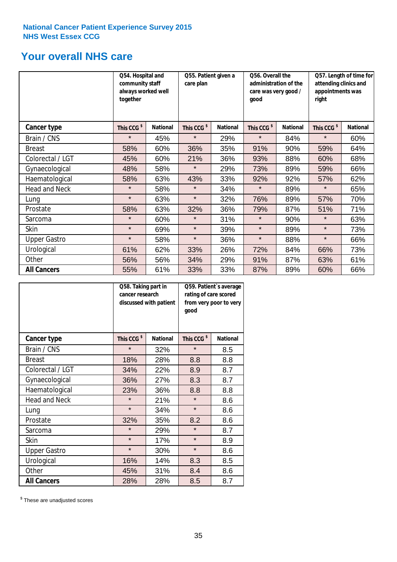# **Your overall NHS care**

|                      | Q54. Hospital and<br>community staff<br>always worked well<br>together |                 | care plan              | Q55. Patient given a<br>qood |                        | Q56. Overall the<br>administration of the<br>care was very good / |                        | Q57. Length of time for<br>attending clinics and<br>appointments was<br>right |  |
|----------------------|------------------------------------------------------------------------|-----------------|------------------------|------------------------------|------------------------|-------------------------------------------------------------------|------------------------|-------------------------------------------------------------------------------|--|
| <b>Cancer type</b>   | This CCG <sup>\$</sup>                                                 | <b>National</b> | This CCG <sup>\$</sup> | <b>National</b>              | This CCG <sup>\$</sup> | <b>National</b>                                                   | This CCG <sup>\$</sup> | <b>National</b>                                                               |  |
| Brain / CNS          | $\star$                                                                | 45%             | $\star$                | 29%                          | $\star$                | 84%                                                               | $\star$                | 60%                                                                           |  |
| <b>Breast</b>        | 58%                                                                    | 60%             | 36%                    | 35%                          | 91%                    | 90%                                                               | 59%                    | 64%                                                                           |  |
| Colorectal / LGT     | 45%                                                                    | 60%             | 21%                    | 36%                          | 93%                    | 88%                                                               | 60%                    | 68%                                                                           |  |
| Gynaecological       | 48%                                                                    | 58%             | $\star$                | 29%                          | 73%                    | 89%                                                               | 59%                    | 66%                                                                           |  |
| Haematological       | 58%                                                                    | 63%             | 43%                    | 33%                          | 92%                    | 92%                                                               | 57%                    | 62%                                                                           |  |
| <b>Head and Neck</b> | $\star$                                                                | 58%             | $\star$                | 34%                          | $\star$                | 89%                                                               | $\star$                | 65%                                                                           |  |
| Lung                 | $\star$                                                                | 63%             | $\star$                | 32%                          | 76%                    | 89%                                                               | 57%                    | 70%                                                                           |  |
| Prostate             | 58%                                                                    | 63%             | 32%                    | 36%                          | 79%                    | 87%                                                               | 51%                    | 71%                                                                           |  |
| Sarcoma              | $\star$                                                                | 60%             | $\star$                | 31%                          | $\star$                | 90%                                                               | $\star$                | 63%                                                                           |  |
| Skin                 | $\star$                                                                | 69%             | $\star$                | 39%                          | $\star$                | 89%                                                               | $\star$                | 73%                                                                           |  |
| <b>Upper Gastro</b>  | $\star$                                                                | 58%             | $\star$                | 36%                          | $\star$                | 88%                                                               | $\star$                | 66%                                                                           |  |
| Urological           | 61%                                                                    | 62%             | 33%                    | 26%                          | 72%                    | 84%                                                               | 66%                    | 73%                                                                           |  |
| Other                | 56%                                                                    | 56%             | 34%                    | 29%                          | 91%                    | 87%                                                               | 63%                    | 61%                                                                           |  |
| <b>All Cancers</b>   | 55%                                                                    | 61%             | 33%                    | 33%                          | 87%                    | 89%                                                               | 60%                    | 66%                                                                           |  |

|                      | Q58. Taking part in<br>cancer research | discussed with patient | Q59. Patient's average<br>rating of care scored<br>good | from very poor to very |  |
|----------------------|----------------------------------------|------------------------|---------------------------------------------------------|------------------------|--|
| <b>Cancer type</b>   | This CCG <sup>\$</sup>                 | <b>National</b>        | This CCG <sup>\$</sup>                                  | <b>National</b>        |  |
| Brain / CNS          | $\star$                                | 32%                    | $\star$                                                 | 8.5                    |  |
| <b>Breast</b>        | 18%                                    | 28%                    | 8.8                                                     | 8.8                    |  |
| Colorectal / LGT     | 34%                                    | 22%                    | 8.9                                                     | 8.7                    |  |
| Gynaecological       | 27%<br>36%                             |                        | 8.3                                                     | 8.7                    |  |
| Haematological       | 23%                                    | 36%                    | 8.8                                                     | 8.8                    |  |
| <b>Head and Neck</b> | $\star$                                | 21%                    | $\star$                                                 | 8.6                    |  |
| Lung                 | $\star$                                | 34%                    | $\star$                                                 | 8.6                    |  |
| Prostate             | 32%                                    | 35%                    | 8.2                                                     | 8.6                    |  |
| Sarcoma              | $\star$                                | 29%                    | $\star$                                                 | 8.7                    |  |
| Skin                 | $\star$                                | 17%                    | $\star$                                                 | 8.9                    |  |
| <b>Upper Gastro</b>  | $\star$                                | 30%                    | $\star$                                                 | 8.6                    |  |
| Urological           | 16%                                    | 14%                    | 8.3                                                     | 8.5                    |  |
| Other                | 45%                                    | 31%                    | 8.4                                                     | 8.6                    |  |
| <b>All Cancers</b>   | 28%                                    | 28%                    | 8.5                                                     | 8.7                    |  |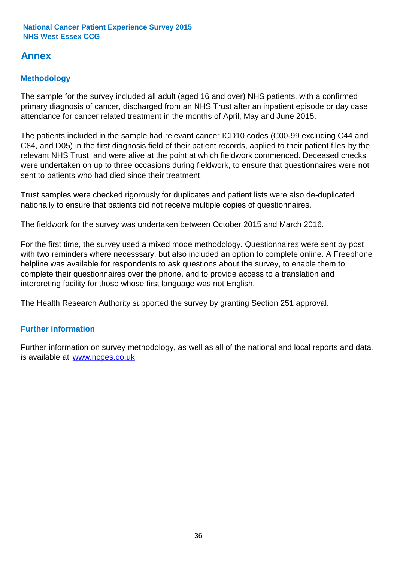# **Annex**

# **Methodology**

The sample for the survey included all adult (aged 16 and over) NHS patients, with a confirmed primary diagnosis of cancer, discharged from an NHS Trust after an inpatient episode or day case attendance for cancer related treatment in the months of April, May and June 2015.

The patients included in the sample had relevant cancer ICD10 codes (C00-99 excluding C44 and C84, and D05) in the first diagnosis field of their patient records, applied to their patient files by the relevant NHS Trust, and were alive at the point at which fieldwork commenced. Deceased checks were undertaken on up to three occasions during fieldwork, to ensure that questionnaires were not sent to patients who had died since their treatment.

Trust samples were checked rigorously for duplicates and patient lists were also de-duplicated nationally to ensure that patients did not receive multiple copies of questionnaires.

The fieldwork for the survey was undertaken between October 2015 and March 2016.

For the first time, the survey used a mixed mode methodology. Questionnaires were sent by post with two reminders where necesssary, but also included an option to complete online. A Freephone helpline was available for respondents to ask questions about the survey, to enable them to complete their questionnaires over the phone, and to provide access to a translation and interpreting facility for those whose first language was not English.

The Health Research Authority supported the survey by granting Section 251 approval.

# **Further information**

Further information on survey methodology, as well as all of the national and local reports and data, is available at www.ncpes.co.uk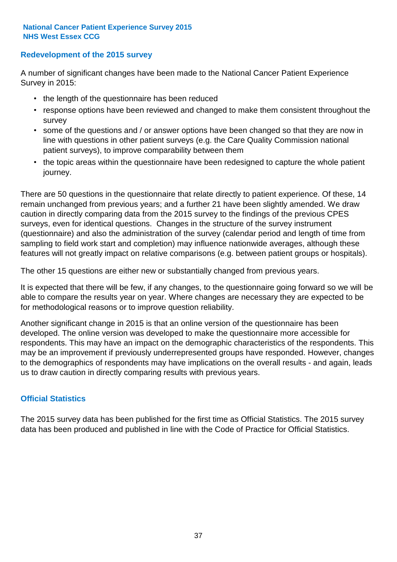# **Redevelopment of the 2015 survey**

A number of significant changes have been made to the National Cancer Patient Experience Survey in 2015:

- the length of the questionnaire has been reduced
- response options have been reviewed and changed to make them consistent throughout the survey
- some of the questions and / or answer options have been changed so that they are now in line with questions in other patient surveys (e.g. the Care Quality Commission national patient surveys), to improve comparability between them
- the topic areas within the questionnaire have been redesigned to capture the whole patient journey.

There are 50 questions in the questionnaire that relate directly to patient experience. Of these, 14 remain unchanged from previous years; and a further 21 have been slightly amended. We draw caution in directly comparing data from the 2015 survey to the findings of the previous CPES surveys, even for identical questions. Changes in the structure of the survey instrument (questionnaire) and also the administration of the survey (calendar period and length of time from sampling to field work start and completion) may influence nationwide averages, although these features will not greatly impact on relative comparisons (e.g. between patient groups or hospitals).

The other 15 questions are either new or substantially changed from previous years.

It is expected that there will be few, if any changes, to the questionnaire going forward so we will be able to compare the results year on year. Where changes are necessary they are expected to be for methodological reasons or to improve question reliability.

Another significant change in 2015 is that an online version of the questionnaire has been developed. The online version was developed to make the questionnaire more accessible for respondents. This may have an impact on the demographic characteristics of the respondents. This may be an improvement if previously underrepresented groups have responded. However, changes to the demographics of respondents may have implications on the overall results - and again, leads us to draw caution in directly comparing results with previous years.

# **Official Statistics**

The 2015 survey data has been published for the first time as Official Statistics. The 2015 survey data has been produced and published in line with the Code of Practice for Official Statistics.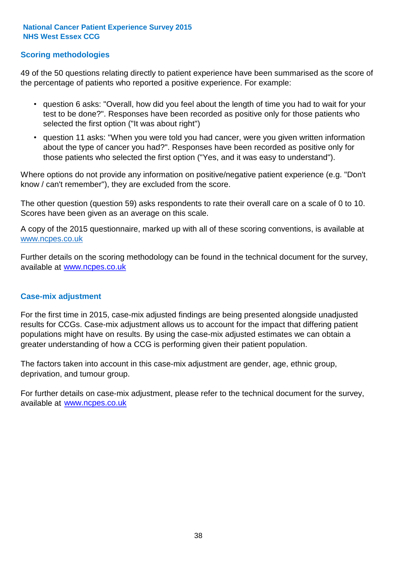# **Scoring methodologies**

49 of the 50 questions relating directly to patient experience have been summarised as the score of the percentage of patients who reported a positive experience. For example:

- question 6 asks: "Overall, how did you feel about the length of time you had to wait for your test to be done?". Responses have been recorded as positive only for those patients who selected the first option ("It was about right")
- question 11 asks: "When you were told you had cancer, were you given written information about the type of cancer you had?". Responses have been recorded as positive only for those patients who selected the first option ("Yes, and it was easy to understand").

Where options do not provide any information on positive/negative patient experience (e.g. "Don't know / can't remember"), they are excluded from the score.

The other question (question 59) asks respondents to rate their overall care on a scale of 0 to 10. Scores have been given as an average on this scale.

A copy of the 2015 questionnaire, marked up with all of these scoring conventions, is available at www.ncpes.co.uk

Further details on the scoring methodology can be found in the technical document for the survey, available at <u>www.ncpes.co.uk</u>

### **Case-mix adjustment**

For the first time in 2015, case-mix adjusted findings are being presented alongside unadjusted results for CCGs. Case-mix adjustment allows us to account for the impact that differing patient populations might have on results. By using the case-mix adjusted estimates we can obtain a greater understanding of how a CCG is performing given their patient population.

The factors taken into account in this case-mix adjustment are gender, age, ethnic group, deprivation, and tumour group.

For further details on case-mix adjustment, please refer to the technical document for the survey, available at www.ncpes.co.uk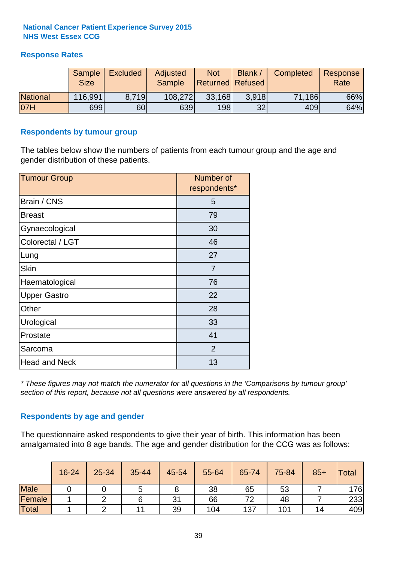# **Response Rates**

|                 | <b>Sample</b><br><b>Size</b> | <b>Excluded</b> | Adjusted<br><b>Sample</b> | <b>Not</b><br><b>Returned Refused</b> | <b>Blank</b> | Completed | Response<br>Rate |
|-----------------|------------------------------|-----------------|---------------------------|---------------------------------------|--------------|-----------|------------------|
| <b>National</b> | 116,991                      | 8.719           | 108,272                   | 33,168                                | 3.918        | 71,186    | 66%              |
| 07H             | 699                          | 60              | 639                       | 198                                   | 32           | 409       | 64%              |

### **Respondents by tumour group**

The tables below show the numbers of patients from each tumour group and the age and gender distribution of these patients.

| <b>Tumour Group</b>  | Number of<br>respondents* |  |  |
|----------------------|---------------------------|--|--|
| Brain / CNS          | 5                         |  |  |
| <b>Breast</b>        | 79                        |  |  |
| Gynaecological       | 30                        |  |  |
| Colorectal / LGT     | 46                        |  |  |
| Lung                 | 27                        |  |  |
| <b>Skin</b>          | $\overline{7}$            |  |  |
| Haematological       | 76                        |  |  |
| <b>Upper Gastro</b>  | 22                        |  |  |
| Other                | 28                        |  |  |
| Urological           | 33                        |  |  |
| Prostate             | 41                        |  |  |
| Sarcoma              | $\overline{2}$            |  |  |
| <b>Head and Neck</b> | 13                        |  |  |

*\* These figures may not match the numerator for all questions in the 'Comparisons by tumour group' section of this report, because not all questions were answered by all respondents.*

# **Respondents by age and gender**

The questionnaire asked respondents to give their year of birth. This information has been amalgamated into 8 age bands. The age and gender distribution for the CCG was as follows:

|             | 16-24 | 25-34 | 35-44 | 45-54 | 55-64 | 65-74 | 75-84 | $85+$ | <b>Total</b> |
|-------------|-------|-------|-------|-------|-------|-------|-------|-------|--------------|
| <b>Male</b> |       |       | ა     |       | 38    | 65    | 53    |       | 176          |
| Female      |       |       |       | 31    | 66    | 72    | 48    |       | 233          |
| Total       |       |       | 11    | 39    | 104   | 137   | 101   | 14    | 409          |